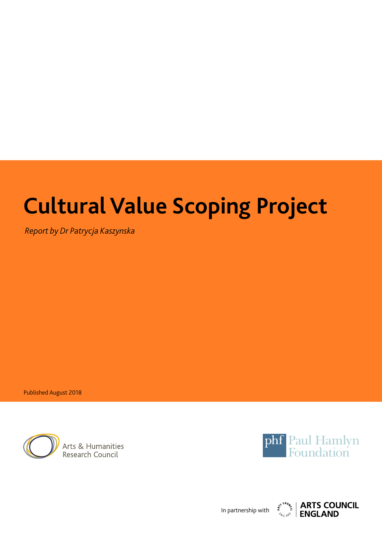# **Cultural Value Scoping Project**

*Report by Dr Patrycja Kaszynska*

Published August 2018



Arts & Humanities Research Council



In partnership with

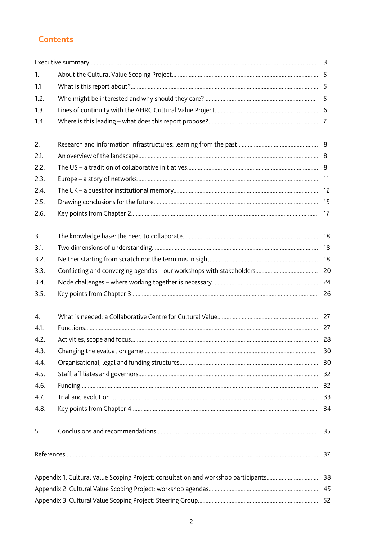# **Contents**

| 1.   |  |    |
|------|--|----|
| 1.1. |  |    |
| 1.2. |  |    |
| 1.3. |  |    |
| 1.4. |  |    |
| 2.   |  |    |
| 2.1. |  |    |
| 2.2. |  |    |
| 2.3. |  |    |
| 2.4. |  |    |
| 2.5. |  |    |
| 2.6. |  |    |
| 3.   |  |    |
| 3.1. |  |    |
| 3.2. |  |    |
| 3.3. |  |    |
| 3.4. |  |    |
| 3.5. |  |    |
| 4.   |  |    |
| 4.1. |  |    |
| 4.2. |  |    |
| 4.3. |  | 30 |
| 4.4. |  |    |
| 4.5. |  |    |
| 4.6. |  |    |
| 4.7. |  | 33 |
| 4.8. |  | 34 |
| 5.   |  |    |
|      |  |    |
|      |  |    |
|      |  |    |
|      |  |    |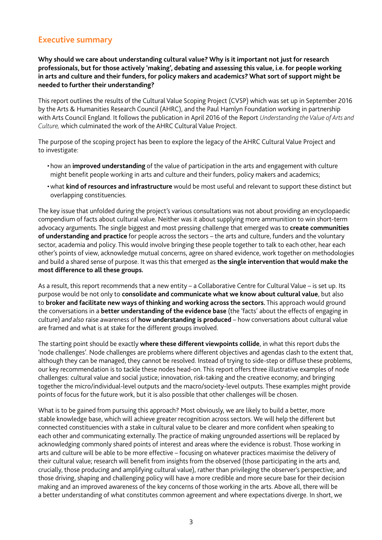# **Executive summary**

**Why should we care about understanding cultural value? Why is it important not just for research professionals, but for those actively 'making', debating and assessing this value, i.e. for people working in arts and culture and their funders, for policy makers and academics? What sort of support might be needed to further their understanding?**

This report outlines the results of the Cultural Value Scoping Project (CVSP) which was set up in September 2016 by the Arts & Humanities Research Council (AHRC), and the Paul Hamlyn Foundation working in partnership with Arts Council England. It follows the publication in April 2016 of the Report *Understanding the Value of Arts and Culture,* which culminated the work of the AHRC Cultural Value Project.

The purpose of the scoping project has been to explore the legacy of the AHRC Cultural Value Project and to investigate:

- how an **improved understanding** of the value of participation in the arts and engagement with culture might benefit people working in arts and culture and their funders, policy makers and academics;
- what **kind of resources and infrastructure** would be most useful and relevant to support these distinct but overlapping constituencies.

The key issue that unfolded during the project's various consultations was not about providing an encyclopaedic compendium of facts about cultural value. Neither was it about supplying more ammunition to win short-term advocacy arguments. The single biggest and most pressing challenge that emerged was to **create communities of understanding and practice** for people across the sectors – the arts and culture, funders and the voluntary sector, academia and policy. This would involve bringing these people together to talk to each other, hear each other's points of view, acknowledge mutual concerns, agree on shared evidence, work together on methodologies and build a shared sense of purpose. It was this that emerged as **the single intervention that would make the most difference to all these groups.**

As a result, this report recommends that a new entity – a Collaborative Centre for Cultural Value – is set up. Its purpose would be not only to **consolidate and communicate what we know about cultural value**, but also to **broker and facilitate new ways of thinking and working across the sectors.** This approach would ground the conversations in a **better understanding of the evidence base** (the 'facts' about the effects of engaging in culture) *and also* raise awareness of **how understanding is produced** – how conversations about cultural value are framed and what is at stake for the different groups involved.

The starting point should be exactly **where these different viewpoints collide**, in what this report dubs the 'node challenges'. Node challenges are problems where different objectives and agendas clash to the extent that, although they can be managed, they cannot be resolved. Instead of trying to side-step or diffuse these problems, our key recommendation is to tackle these nodes head-on. This report offers three illustrative examples of node challenges: cultural value and social justice; innovation, risk-taking and the creative economy; and bringing together the micro/individual-level outputs and the macro/society-level outputs. These examples might provide points of focus for the future work, but it is also possible that other challenges will be chosen.

What is to be gained from pursuing this approach? Most obviously, we are likely to build a better, more stable knowledge base, which will achieve greater recognition across sectors. We will help the different but connected constituencies with a stake in cultural value to be clearer and more confdent when speaking to each other and communicating externally. The practice of making ungrounded assertions will be replaced by acknowledging commonly shared points of interest and areas where the evidence is robust. Those working in arts and culture will be able to be more effective – focusing on whatever practices maximise the delivery of their cultural value; research will benefit from insights from the observed (those participating in the arts and, crucially, those producing and amplifying cultural value), rather than privileging the observer's perspective; and those driving, shaping and challenging policy will have a more credible and more secure base for their decision making and an improved awareness of the key concerns of those working in the arts. Above all, there will be a better understanding of what constitutes common agreement and where expectations diverge. In short, we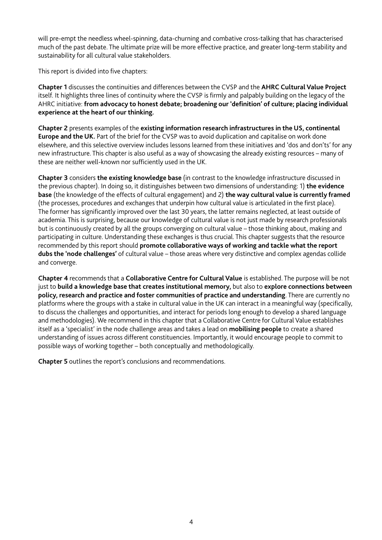will pre-empt the needless wheel-spinning, data-churning and combative cross-talking that has characterised much of the past debate. The ultimate prize will be more effective practice, and greater long-term stability and sustainability for all cultural value stakeholders.

This report is divided into five chapters:

**Chapter 1** discusses the continuities and differences between the CVSP and the **AHRC Cultural Value Project** itself. It highlights three lines of continuity where the CVSP is frmly and palpably building on the legacy of the AHRC initiative: **from advocacy to honest debate; broadening our 'defnition' of culture; placing individual experience at the heart of our thinking.**

**Chapter 2** presents examples of the **existing information research infrastructures in the US, continental Europe and the UK.** Part of the brief for the CVSP was to avoid duplication and capitalise on work done elsewhere, and this selective overview includes lessons learned from these initiatives and 'dos and don'ts' for any new infrastructure. This chapter is also useful as a way of showcasing the already existing resources – many of these are neither well-known nor sufficiently used in the UK.

**Chapter 3** considers **the existing knowledge base** (in contrast to the knowledge infrastructure discussed in the previous chapter). In doing so, it distinguishes between two dimensions of understanding: 1) **the evidence base** (the knowledge of the effects of cultural engagement) and 2) **the way cultural value is currently framed** (the processes, procedures and exchanges that underpin how cultural value is articulated in the frst place). The former has signifcantly improved over the last 30 years, the latter remains neglected, at least outside of academia. This is surprising, because our knowledge of cultural value is not just made by research professionals but is continuously created by all the groups converging on cultural value – those thinking about, making and participating in culture. Understanding these exchanges is thus crucial. This chapter suggests that the resource recommended by this report should **promote collaborative ways of working and tackle what the report dubs the 'node challenges'** of cultural value – those areas where very distinctive and complex agendas collide and converge.

**Chapter 4** recommends that a **Collaborative Centre for Cultural Value** is established. The purpose will be not just to **build a knowledge base that creates institutional memory,** but also to **explore connections between policy, research and practice and foster communities of practice and understanding**. There are currently no platforms where the groups with a stake in cultural value in the UK can interact in a meaningful way (specifcally, to discuss the challenges and opportunities, and interact for periods long enough to develop a shared language and methodologies). We recommend in this chapter that a Collaborative Centre for Cultural Value establishes itself as a 'specialist' in the node challenge areas and takes a lead on **mobilising people** to create a shared understanding of issues across different constituencies. Importantly, it would encourage people to commit to possible ways of working together – both conceptually and methodologically.

**Chapter 5** outlines the report's conclusions and recommendations.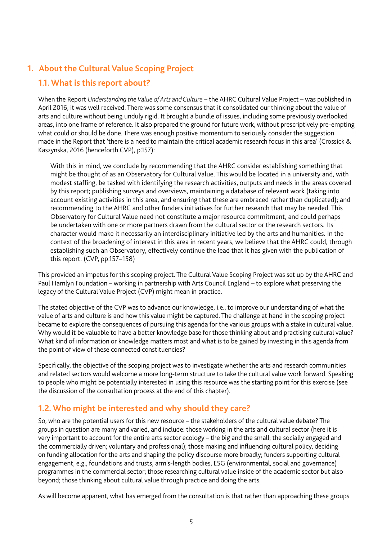# **1. About the Cultural Value Scoping Project**

# **1.1. What is this report about?**

When the Report *Understanding the Value of Arts and Culture* – the AHRC Cultural Value Project – was published in April 2016, it was well received. There was some consensus that it consolidated our thinking about the value of arts and culture without being unduly rigid. It brought a bundle of issues, including some previously overlooked areas, into one frame of reference. It also prepared the ground for future work, without prescriptively pre-empting what could or should be done. There was enough positive momentum to seriously consider the suggestion made in the Report that 'there is a need to maintain the critical academic research focus in this area' (Crossick & Kaszynska, 2016 (henceforth CVP), p.157):

With this in mind, we conclude by recommending that the AHRC consider establishing something that might be thought of as an Observatory for Cultural Value. This would be located in a university and, with modest staffng, be tasked with identifying the research activities, outputs and needs in the areas covered by this report; publishing surveys and overviews, maintaining a database of relevant work (taking into account existing activities in this area, and ensuring that these are embraced rather than duplicated); and recommending to the AHRC and other funders initiatives for further research that may be needed. This Observatory for Cultural Value need not constitute a major resource commitment, and could perhaps be undertaken with one or more partners drawn from the cultural sector or the research sectors. Its character would make it necessarily an interdisciplinary initiative led by the arts and humanities. In the context of the broadening of interest in this area in recent years, we believe that the AHRC could, through establishing such an Observatory, effectively continue the lead that it has given with the publication of this report. (CVP, pp.157–158)

This provided an impetus for this scoping project. The Cultural Value Scoping Project was set up by the AHRC and Paul Hamlyn Foundation – working in partnership with Arts Council England – to explore what preserving the legacy of the Cultural Value Project (CVP) might mean in practice.

The stated objective of the CVP was to advance our knowledge, i.e., to improve our understanding of what the value of arts and culture is and how this value might be captured. The challenge at hand in the scoping project became to explore the consequences of pursuing this agenda for the various groups with a stake in cultural value. Why would it be valuable to have a better knowledge base for those thinking about and practising cultural value? What kind of information or knowledge matters most and what is to be gained by investing in this agenda from the point of view of these connected constituencies?

Specifically, the objective of the scoping project was to investigate whether the arts and research communities and related sectors would welcome a more long-term structure to take the cultural value work forward. Speaking to people who might be potentially interested in using this resource was the starting point for this exercise (see the discussion of the consultation process at the end of this chapter).

# **1.2. Who might be interested and why should they care?**

So, who are the potential users for this new resource – the stakeholders of the cultural value debate? The groups in question are many and varied, and include: those working in the arts and cultural sector (here it is very important to account for the entire arts sector ecology – the big and the small; the socially engaged and the commercially driven; voluntary and professional); those making and infuencing cultural policy, deciding on funding allocation for the arts and shaping the policy discourse more broadly; funders supporting cultural engagement, e.g., foundations and trusts, arm's-length bodies, ESG (environmental, social and governance) programmes in the commercial sector; those researching cultural value inside of the academic sector but also beyond; those thinking about cultural value through practice and doing the arts.

As will become apparent, what has emerged from the consultation is that rather than approaching these groups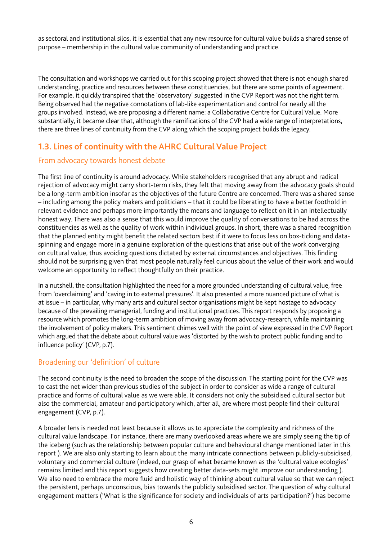as sectoral and institutional silos, it is essential that any new resource for cultural value builds a shared sense of purpose – membership in the cultural value community of understanding and practice.

The consultation and workshops we carried out for this scoping project showed that there is not enough shared understanding, practice and resources between these constituencies, but there are some points of agreement. For example, it quickly transpired that the 'observatory' suggested in the CVP Report was not the right term. Being observed had the negative connotations of lab-like experimentation and control for nearly all the groups involved. Instead, we are proposing a different name: a Collaborative Centre for Cultural Value. More substantially, it became clear that, although the ramifications of the CVP had a wide range of interpretations, there are three lines of continuity from the CVP along which the scoping project builds the legacy.

# **1.3. Lines of continuity with the AHRC Cultural Value Project**

# From advocacy towards honest debate

The first line of continuity is around advocacy. While stakeholders recognised that any abrupt and radical rejection of advocacy might carry short-term risks, they felt that moving away from the advocacy goals should be a long-term ambition insofar as the objectives of the future Centre are concerned. There was a shared sense – including among the policy makers and politicians – that it could be liberating to have a better foothold in relevant evidence and perhaps more importantly the means and language to reflect on it in an intellectually honest way. There was also a sense that this would improve the quality of conversations to be had across the constituencies as well as the quality of work within individual groups. In short, there was a shared recognition that the planned entity might benefit the related sectors best if it were to focus less on box-ticking and dataspinning and engage more in a genuine exploration of the questions that arise out of the work converging on cultural value, thus avoiding questions dictated by external circumstances and objectives. This fnding should not be surprising given that most people naturally feel curious about the value of their work and would welcome an opportunity to reflect thoughtfully on their practice.

In a nutshell, the consultation highlighted the need for a more grounded understanding of cultural value, free from 'overclaiming' and 'caving in to external pressures'. It also presented a more nuanced picture of what is at issue – in particular, why many arts and cultural sector organisations might be kept hostage to advocacy because of the prevailing managerial, funding and institutional practices. This report responds by proposing a resource which promotes the long-term ambition of moving away from advocacy-research, while maintaining the involvement of policy makers. This sentiment chimes well with the point of view expressed in the CVP Report which argued that the debate about cultural value was 'distorted by the wish to protect public funding and to infuence policy' (CVP, p.7).

# Broadening our 'definition' of culture

The second continuity is the need to broaden the scope of the discussion. The starting point for the CVP was to cast the net wider than previous studies of the subject in order to consider as wide a range of cultural practice and forms of cultural value as we were able. It considers not only the subsidised cultural sector but also the commercial, amateur and participatory which, after all, are where most people fnd their cultural engagement (CVP, p.7).

A broader lens is needed not least because it allows us to appreciate the complexity and richness of the cultural value landscape. For instance, there are many overlooked areas where we are simply seeing the tip of the iceberg (such as the relationship between popular culture and behavioural change mentioned later in this report ). We are also only starting to learn about the many intricate connections between publicly-subsidised, voluntary and commercial culture (indeed, our grasp of what became known as the 'cultural value ecologies' remains limited and this report suggests how creating better data-sets might improve our understanding ). We also need to embrace the more fuid and holistic way of thinking about cultural value so that we can reject the persistent, perhaps unconscious, bias towards the publicly subsidised sector. The question of why cultural engagement matters ('What is the signifcance for society and individuals of arts participation?') has become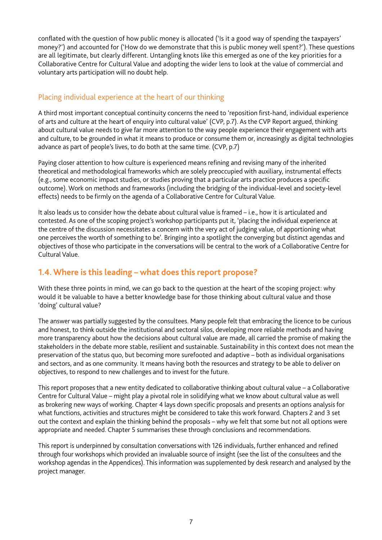conflated with the question of how public money is allocated ('Is it a good way of spending the taxpayers' money?') and accounted for ('How do we demonstrate that this is public money well spent?'). These questions are all legitimate, but clearly different. Untangling knots like this emerged as one of the key priorities for a Collaborative Centre for Cultural Value and adopting the wider lens to look at the value of commercial and voluntary arts participation will no doubt help.

# Placing individual experience at the heart of our thinking

A third most important conceptual continuity concerns the need to 'reposition frst-hand, individual experience of arts and culture at the heart of enquiry into cultural value' (CVP, p.7). As the CVP Report argued, thinking about cultural value needs to give far more attention to the way people experience their engagement with arts and culture, to be grounded in what it means to produce or consume them or, increasingly as digital technologies advance as part of people's lives, to do both at the same time. (CVP, p.7)

Paying closer attention to how culture is experienced means refning and revising many of the inherited theoretical and methodological frameworks which are solely preoccupied with auxiliary, instrumental effects (e.g., some economic impact studies, or studies proving that a particular arts practice produces a specifc outcome). Work on methods and frameworks (including the bridging of the individual-level and society-level effects) needs to be frmly on the agenda of a Collaborative Centre for Cultural Value.

It also leads us to consider how the debate about cultural value is framed – i.e., how it is articulated and contested. As one of the scoping project's workshop participants put it, 'placing the individual experience at the centre of the discussion necessitates a concern with the very act of judging value, of apportioning what one perceives the worth of something to be'. Bringing into a spotlight the converging but distinct agendas and objectives of those who participate in the conversations will be central to the work of a Collaborative Centre for Cultural Value.

# **1.4. Where is this leading – what does this report propose?**

With these three points in mind, we can go back to the question at the heart of the scoping project: why would it be valuable to have a better knowledge base for those thinking about cultural value and those 'doing' cultural value?

The answer was partially suggested by the consultees. Many people felt that embracing the licence to be curious and honest, to think outside the institutional and sectoral silos, developing more reliable methods and having more transparency about how the decisions about cultural value are made, all carried the promise of making the stakeholders in the debate more stable, resilient and sustainable. Sustainability in this context does not mean the preservation of the status quo, but becoming more surefooted and adaptive – both as individual organisations and sectors, and as one community. It means having both the resources and strategy to be able to deliver on objectives, to respond to new challenges and to invest for the future.

This report proposes that a new entity dedicated to collaborative thinking about cultural value – a Collaborative Centre for Cultural Value – might play a pivotal role in solidifying what we know about cultural value as well as brokering new ways of working. Chapter 4 lays down specifc proposals and presents an options analysis for what functions, activities and structures might be considered to take this work forward. Chapters 2 and 3 set out the context and explain the thinking behind the proposals – why we felt that some but not all options were appropriate and needed. Chapter 5 summarises these through conclusions and recommendations.

This report is underpinned by consultation conversations with 126 individuals, further enhanced and refined through four workshops which provided an invaluable source of insight (see the list of the consultees and the workshop agendas in the Appendices). This information was supplemented by desk research and analysed by the project manager.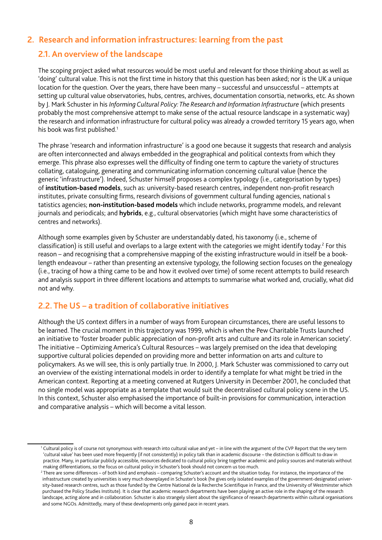# **2. Research and information infrastructures: learning from the past**

## **2.1. An overview of the landscape**

The scoping project asked what resources would be most useful and relevant for those thinking about as well as 'doing' cultural value. This is not the frst time in history that this question has been asked; nor is the UK a unique location for the question. Over the years, there have been many - successful and unsuccessful - attempts at setting up cultural value observatories, hubs, centres, archives, documentation consortia, networks, etc. As shown by J. Mark Schuster in his *Informing Cultural Policy: The Research and Information Infrastructure* (which presents probably the most comprehensive attempt to make sense of the actual resource landscape in a systematic way) the research and information infrastructure for cultural policy was already a crowded territory 15 years ago, when his book was first published.<sup>1</sup>

The phrase 'research and information infrastructure' is a good one because it suggests that research and analysis are often interconnected and always embedded in the geographical and political contexts from which they emerge. This phrase also expresses well the difficulty of finding one term to capture the variety of structures collating, cataloguing, generating and communicating information concerning cultural value (hence the generic 'infrastructure'). Indeed, Schuster himself proposes a complex typology (i.e., categorisation by types) of **institution-based models**, such as: university-based research centres, independent non-proft research institutes, private consulting firms, research divisions of government cultural funding agencies, national s tatistics agencies; **non-institution-based models** which include networks, programme models, and relevant journals and periodicals; and **hybrids**, e.g., cultural observatories (which might have some characteristics of centres and networks).

Although some examples given by Schuster are understandably dated, his taxonomy (i.e., scheme of classification) is still useful and overlaps to a large extent with the categories we might identify today.<sup>2</sup> For this reason – and recognising that a comprehensive mapping of the existing infrastructure would in itself be a booklength endeavour – rather than presenting an extensive typology, the following section focuses on the genealogy (i.e., tracing of how a thing came to be and how it evolved over time) of some recent attempts to build research and analysis support in three different locations and attempts to summarise what worked and, crucially, what did not and why.

# **2.2. The US – a tradition of collaborative initiatives**

Although the US context differs in a number of ways from European circumstances, there are useful lessons to be learned. The crucial moment in this trajectory was 1999, which is when the Pew Charitable Trusts launched an initiative to 'foster broader public appreciation of non-proft arts and culture and its role in American society'. The initiative – Optimizing America's Cultural Resources – was largely premised on the idea that developing supportive cultural policies depended on providing more and better information on arts and culture to policymakers. As we will see, this is only partially true. In 2000, J. Mark Schuster was commissioned to carry out an overview of the existing international models in order to identify a template for what might be tried in the American context. Reporting at a meeting convened at Rutgers University in December 2001, he concluded that no single model was appropriate as a template that would suit the decentralised cultural policy scene in the US. In this context, Schuster also emphasised the importance of built-in provisions for communication, interaction and comparative analysis – which will become a vital lesson.

<sup>1</sup> Cultural policy is of course not synonymous with research into cultural value and yet – in line with the argument of the CVP Report that the very term 'cultural value' has been used more frequently (if not consistently) in policy talk than in academic discourse – the distinction is diffcult to draw in practice. Many, in particular publicly accessible, resources dedicated to cultural policy bring together academic and policy sources and materials without making differentiations, so the focus on cultural policy in Schuster's book should not concern us too much.

 $^2$  There are some differences – of both kind and emphasis – comparing Schuster's account and the situation today. For instance, the importance of the infrastructure created by universities is very much downplayed in Schuster's book (he gives only isolated examples of the government-designated university-based research centres, such as those funded by the Centre National de la Recherche Scientifque in France, and the University of Westminster which purchased the Policy Studies Institute). It is clear that academic research departments have been playing an active role in the shaping of the research landscape, acting alone and in collaboration. Schuster is also strangely silent about the signifcance of research departments within cultural organisations and some NGOs. Admittedly, many of these developments only gained pace in recent years.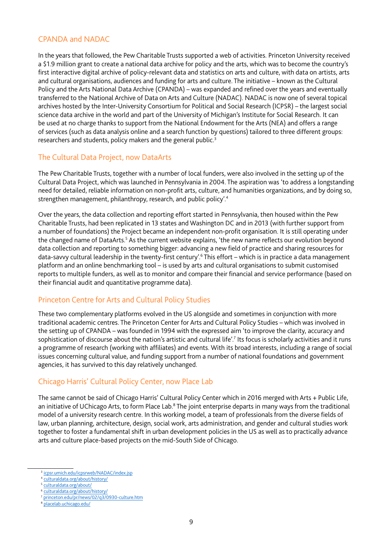## CPANDA and NADAC

In the years that followed, the Pew Charitable Trusts supported a web of activities. Princeton University received a \$1.9 million grant to create a national data archive for policy and the arts, which was to become the country's frst interactive digital archive of policy-relevant data and statistics on arts and culture, with data on artists, arts and cultural organisations, audiences and funding for arts and culture. The initiative – known as the Cultural Policy and the Arts National Data Archive (CPANDA) – was expanded and refned over the years and eventually transferred to the National Archive of Data on Arts and Culture (NADAC). NADAC is now one of several topical archives hosted by the Inter-University Consortium for Political and Social Research (ICPSR) – the largest social science data archive in the world and part of the University of Michigan's Institute for Social Research. It can be used at no charge thanks to support from the National Endowment for the Arts (NEA) and offers a range of services (such as data analysis online and a search function by questions) tailored to three different groups: researchers and students, policy makers and the general public.<sup>3</sup>

## The Cultural Data Project, now DataArts

The Pew Charitable Trusts, together with a number of local funders, were also involved in the setting up of the Cultural Data Project, which was launched in Pennsylvania in 2004. The aspiration was 'to address a longstanding need for detailed, reliable information on non-proft arts, culture, and humanities organizations, and by doing so, strengthen management, philanthropy, research, and public policy'.4

Over the years, the data collection and reporting effort started in Pennsylvania, then housed within the Pew Charitable Trusts, had been replicated in 13 states and Washington DC and in 2013 (with further support from a number of foundations) the Project became an independent non-proft organisation. It is still operating under the changed name of DataArts.<sup>5</sup> As the current website explains, 'the new name reflects our evolution beyond data collection and reporting to something bigger: advancing a new field of practice and sharing resources for data-savvy cultural leadership in the twenty-first century'.<sup>6</sup> This effort – which is in practice a data management platform and an online benchmarking tool – is used by arts and cultural organisations to submit customised reports to multiple funders, as well as to monitor and compare their fnancial and service performance (based on their fnancial audit and quantitative programme data).

# Princeton Centre for Arts and Cultural Policy Studies

These two complementary platforms evolved in the US alongside and sometimes in conjunction with more traditional academic centres. The Princeton Center for Arts and Cultural Policy Studies – which was involved in the setting up of CPANDA – was founded in 1994 with the expressed aim 'to improve the clarity, accuracy and sophistication of discourse about the nation's artistic and cultural life'.<sup>7</sup> Its focus is scholarly activities and it runs a programme of research (working with affliates) and events. With its broad interests, including a range of social issues concerning cultural value, and funding support from a number of national foundations and government agencies, it has survived to this day relatively unchanged.

# Chicago Harris' Cultural Policy Center, now Place Lab

The same cannot be said of Chicago Harris' Cultural Policy Center which in 2016 merged with Arts + Public Life, an initiative of UChicago Arts, to form Place Lab.<sup>8</sup> The joint enterprise departs in many ways from the traditional model of a university research centre. In this working model, a team of professionals from the diverse felds of law, urban planning, architecture, design, social work, arts administration, and gender and cultural studies work together to foster a fundamental shift in urban development policies in the US as well as to practically advance arts and culture place-based projects on the mid-South Side of Chicago.

<sup>&</sup>lt;sup>3</sup> [icpsr.umich.edu/icpsrweb/NADAC/index.jsp](http://www.icpsr.umich.edu/icpsrweb/NADAC/index.jsp)

<sup>4</sup> [culturaldata.org/about/history/](http://culturaldata.org/about/history/)

<sup>5</sup> [culturaldata.org/about/](http://culturaldata.org/about/)

<sup>6</sup> [culturaldata.org/about/history/](http://culturaldata.org/about/history/) <sup>7</sup> [princeton.edu/pr/news/02/q3/0930-culture.htm](https://www.princeton.edu/pr/news/02/q3/0930-culture.htm)

<sup>8</sup> [placelab.uchicago.edu/](https://placelab.uchicago.edu/)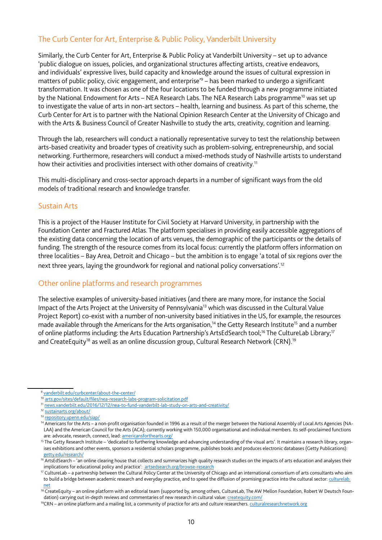# The Curb Center for Art, Enterprise & Public Policy, Vanderbilt University

Similarly, the Curb Center for Art, Enterprise & Public Policy at Vanderbilt University – set up to advance 'public dialogue on issues, policies, and organizational structures affecting artists, creative endeavors, and individuals' expressive lives, build capacity and knowledge around the issues of cultural expression in matters of public policy, civic engagement, and enterprise<sup>'9</sup> – has been marked to undergo a significant transformation. It was chosen as one of the four locations to be funded through a new programme initiated by the National Endowment for Arts - NEA Research Labs. The NEA Research Labs programme<sup>10</sup> was set up to investigate the value of arts in non-art sectors – health, learning and business. As part of this scheme, the Curb Center for Art is to partner with the National Opinion Research Center at the University of Chicago and with the Arts & Business Council of Greater Nashville to study the arts, creativity, cognition and learning.

Through the lab, researchers will conduct a nationally representative survey to test the relationship between arts-based creativity and broader types of creativity such as problem-solving, entrepreneurship, and social networking. Furthermore, researchers will conduct a mixed-methods study of Nashville artists to understand how their activities and proclivities intersect with other domains of creativity.<sup>11</sup>

This multi-disciplinary and cross-sector approach departs in a number of signifcant ways from the old models of traditional research and knowledge transfer.

#### Sustain Arts

This is a project of the Hauser Institute for Civil Society at Harvard University, in partnership with the Foundation Center and Fractured Atlas. The platform specialises in providing easily accessible aggregations of the existing data concerning the location of arts venues, the demographic of the participants or the details of funding. The strength of the resource comes from its local focus: currently the platform offers information on three localities – Bay Area, Detroit and Chicago – but the ambition is to engage 'a total of six regions over the next three years, laying the groundwork for regional and national policy conversations'.<sup>12</sup>

# Other online platforms and research programmes

The selective examples of university-based initiatives (and there are many more, for instance the Social Impact of the Arts Project at the University of Pennsylvania13 which was discussed in the Cultural Value Project Report) co-exist with a number of non-university based initiatives in the US, for example, the resources made available through the Americans for the Arts organisation,<sup>14</sup> the Getty Research Institute<sup>15</sup> and a number of online platforms including: the Arts Education Partnership's ArtsEdSearch tool;<sup>16</sup> The CultureLab Library;<sup>17</sup> and CreateEquity<sup>18</sup> as well as an online discussion group, Cultural Research Network (CRN).<sup>19</sup>

[vanderbilt.edu/curbcenter/about-the-center/](https://www.vanderbilt.edu/curbcenter/about-the-center/)

<sup>10</sup> [arts.gov/sites/default/fles/nea-research-labs-program-solicitation.pdf](https://www.arts.gov/sites/default/files/nea-research-labs-program-solicitation.pdf)

<sup>11</sup> [news.vanderbilt.edu/2016/12/12/nea-to-fund-vanderbilt-lab-study-on-arts-and-creativity/](https://news.vanderbilt.edu/2016/12/12/nea-to-fund-vanderbilt-lab-study-on-arts-and-creativity/)

<sup>12</sup> [sustainarts.org/about/](http://sustainarts.org/about/)

<sup>13</sup> [repository.upenn.edu/siap/](http://repository.upenn.edu/siap/)

<sup>&</sup>lt;sup>14</sup> Americans for the Arts – a non-profit organisation founded in 1996 as a result of the merger between the National Assembly of Local Arts Agencies (NA-LAA) and the American Council for the Arts (ACA); currently working with 150,000 organisational and individual members. Its self-proclaimed functions are: advocate, research, connect, lead: [americansforthearts.org/](http://www.americansforthearts.org/)

<sup>&</sup>lt;sup>15</sup> The Getty Research Institute – 'dedicated to furthering knowledge and advancing understanding of the visual arts'. It maintains a research library, organises exhibitions and other events, sponsors a residential scholars programme, publishes books and produces electronic databases (Getty Publications): [getty.edu/research/](http://www.getty.edu/research/)

<sup>&</sup>lt;sup>16</sup> ArtsEdSearch – 'an online clearing house that collects and summarizes high quality research studies on the impacts of arts education and analyses their implications for educational policy and practice': [artsedsearch.org/browse-research](http://www.artsedsearch.org/browse-research)

<sup>&</sup>lt;sup>17</sup> CultureLab – a partnership between the Cultural Policy Center at the University of Chicago and an international consortium of arts consultants who aim to build a bridge between academic research and everyday practice, and to speed the diffusion of promising practice into the cultural sector: [culturelab.](http://www.culturelab.net) [net](http://www.culturelab.net)

<sup>18</sup> CreateEquity - an online platform with an editorial team (supported by, among others, CultureLab, The AW Mellon Foundation, Robert W Deutsch Foundation) carrying out in-depth reviews and commentaries of new research in cultural value: [createquity.com/](http://createquity.com/)

<sup>19</sup>CRN – an online platform and a mailing list, a community of practice for arts and culture researchers. [culturalresearchnetwork.org](http://www.culturalresearchnetwork.org)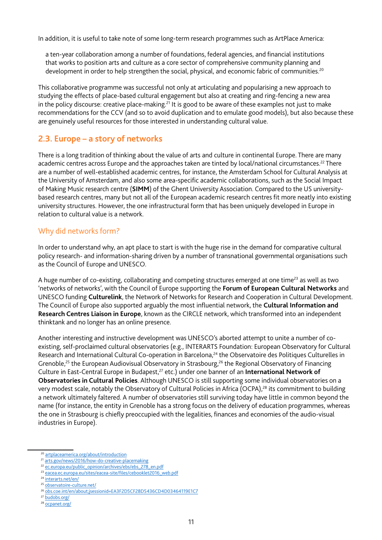In addition, it is useful to take note of some long-term research programmes such as ArtPlace America:

a ten-year collaboration among a number of foundations, federal agencies, and fnancial institutions that works to position arts and culture as a core sector of comprehensive community planning and development in order to help strengthen the social, physical, and economic fabric of communities.<sup>20</sup>

This collaborative programme was successful not only at articulating and popularising a new approach to studying the effects of place-based cultural engagement but also at creating and ring-fencing a new area in the policy discourse: creative place-making.<sup>21</sup> It is good to be aware of these examples not just to make recommendations for the CCV (and so to avoid duplication and to emulate good models), but also because these are genuinely useful resources for those interested in understanding cultural value.

# **2.3. Europe – a story of networks**

There is a long tradition of thinking about the value of arts and culture in continental Europe. There are many academic centres across Europe and the approaches taken are tinted by local/national circumstances.<sup>22</sup> There are a number of well-established academic centres, for instance, the Amsterdam School for Cultural Analysis at the University of Amsterdam, and also some area-specific academic collaborations, such as the Social Impact of Making Music research centre (**SIMM**) of the Ghent University Association. Compared to the US universitybased research centres, many but not all of the European academic research centres fit more neatly into existing university structures. However, the one infrastructural form that has been uniquely developed in Europe in relation to cultural value is a network.

## Why did networks form?

In order to understand why, an apt place to start is with the huge rise in the demand for comparative cultural policy research- and information-sharing driven by a number of transnational governmental organisations such as the Council of Europe and UNESCO.

A huge number of co-existing, collaborating and competing structures emerged at one time<sup>23</sup> as well as two 'networks of networks', with the Council of Europe supporting the **Forum of European Cultural Networks** and UNESCO funding **Culturelink**, the Network of Networks for Research and Cooperation in Cultural Development. The Council of Europe also supported arguably the most infuential network, the **Cultural Information and Research Centres Liaison in Europe**, known as the CIRCLE network, which transformed into an independent thinktank and no longer has an online presence.

Another interesting and instructive development was UNESCO's aborted attempt to unite a number of coexisting, self-proclaimed cultural observatories (e.g., INTERARTS Foundation: European Observatory for Cultural Research and International Cultural Co-operation in Barcelona,<sup>24</sup> the Observatoire des Politiques Culturelles in Grenoble,<sup>25</sup> the European Audiovisual Observatory in Strasbourg,<sup>26</sup> the Regional Observatory of Financing Culture in East-Central Europe in Budapest,27 etc.) under one banner of an **International Network of Observatories in Cultural Policies**. Although UNESCO is still supporting some individual observatories on a very modest scale, notably the Observatory of Cultural Policies in Africa (OCPA),<sup>28</sup> its commitment to building a network ultimately faltered. A number of observatories still surviving today have little in common beyond the name (for instance, the entity in Grenoble has a strong focus on the delivery of education programmes, whereas the one in Strasbourg is chiefy preoccupied with the legalities, fnances and economies of the audio-visual industries in Europe).

- 21 [arts.gov/news/2016/how-do-creative-placemaking](https://www.arts.gov/news/2016/how-do-creative-placemaking)
- <sup>22</sup> [ec.europa.eu/public\\_opinion/archives/ebs/ebs\\_278\\_en.pdf](http://ec.europa.eu/public_opinion/archives/ebs/ebs_278_en.pdf)

<sup>24</sup> [interarts.net/en/](http://www.interarts.net/en/)

<sup>20</sup> [artplaceamerica.org/about/introduction](http://www.artplaceamerica.org/about/introduction)

<sup>23</sup> [eacea.ec.europa.eu/sites/eacea-site/fles/cebooklet2016\\_web.pdf](http://eacea.ec.europa.eu/sites/eacea-site/files/cebooklet2016_web.pdf)

<sup>25</sup> [observatoire-culture.net/](http://www.observatoire-culture.net/)

<sup>26</sup> [obs.coe.int/en/about;jsessionid=EA3F2D5CF28D5436CD4D03464119E1C7](http://www.obs.coe.int/en/about;jsessionid=EA3F2D5CF28D5436CD4D03464119E1C7)

<sup>&</sup>lt;sup>27</sup> [budobs.org/](http://www.budobs.org/)

<sup>28</sup> [ocpanet.org/](http://www.ocpanet.org/)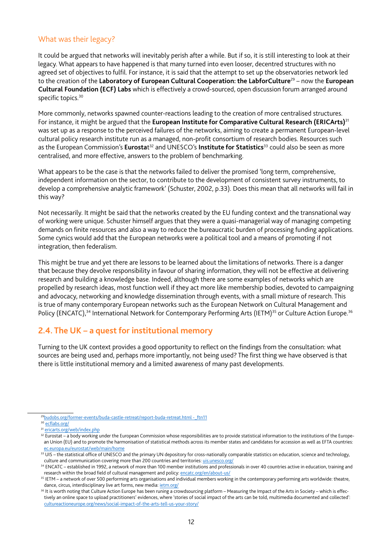## What was their legacy?

It could be argued that networks will inevitably perish after a while. But if so, it is still interesting to look at their legacy. What appears to have happened is that many turned into even looser, decentred structures with no agreed set of objectives to fulfl. For instance, it is said that the attempt to set up the observatories network led to the creation of the **Laboratory of European Cultural Cooperation: the LabforCulture**29 – now the **European Cultural Foundation (ECF) Labs** which is effectively a crowd-sourced, open discussion forum arranged around specific topics.<sup>30</sup>

More commonly, networks spawned counter-reactions leading to the creation of more centralised structures. For instance, it might be argued that the **European Institute for Comparative Cultural Research (ERICArts)**<sup>31</sup> was set up as a response to the perceived failures of the networks, aiming to create a permanent European-level cultural policy research institute run as a managed, non-profit consortium of research bodies. Resources such as the European Commission's Eurostat<sup>32</sup> and UNESCO's Institute for Statistics<sup>33</sup> could also be seen as more centralised, and more effective, answers to the problem of benchmarking.

What appears to be the case is that the networks failed to deliver the promised 'long term, comprehensive, independent information on the sector, to contribute to the development of consistent survey instruments, to develop a comprehensive analytic framework' (Schuster, 2002, p.33). Does this mean that all networks will fail in this way?

Not necessarily. It might be said that the networks created by the EU funding context and the transnational way of working were unique. Schuster himself argues that they were a quasi-managerial way of managing competing demands on fnite resources and also a way to reduce the bureaucratic burden of processing funding applications. Some cynics would add that the European networks were a political tool and a means of promoting if not integration, then federalism.

This might be true and yet there are lessons to be learned about the limitations of networks. There is a danger that because they devolve responsibility in favour of sharing information, they will not be effective at delivering research and building a knowledge base. Indeed, although there are some examples of networks which are propelled by research ideas, most function well if they act more like membership bodies, devoted to campaigning and advocacy, networking and knowledge dissemination through events, with a small mixture of research. This is true of many contemporary European networks such as the European Network on Cultural Management and Policy (ENCATC),<sup>34</sup> International Network for Contemporary Performing Arts (IETM)<sup>35</sup> or Culture Action Europe.<sup>36</sup>

# **2.4. The UK – a quest for institutional memory**

Turning to the UK context provides a good opportunity to reflect on the findings from the consultation: what sources are being used and, perhaps more importantly, not being used? The frst thing we have observed is that there is little institutional memory and a limited awareness of many past developments.

<sup>29</sup>budobs.org/former-events/buda-castle-retreat/report-buda-retreat.html -\_ftn11

<sup>&</sup>lt;sup>30</sup> ecflabs.org/

<sup>31</sup> [ericarts.org/web/index.php](http://www.ericarts.org/web/index.php)

<sup>&</sup>lt;sup>32</sup> Eurostat – a body working under the European Commission whose responsibilities are to provide statistical information to the institutions of the European Union (EU) and to promote the harmonisation of statistical methods across its member states and candidates for accession as well as EFTA countries: [ec.europa.eu/eurostat/web/main/home](http://ec.europa.eu/eurostat/web/main/home)

<sup>&</sup>lt;sup>33</sup> UIS – the statistical office of UNESCO and the primary UN depository for cross-nationally comparable statistics on education, science and technology, culture and communication covering more than 200 countries and territories: [uis.unesco.org/](http://uis.unesco.org/)

<sup>&</sup>lt;sup>34</sup> ENCATC – established in 1992, a network of more than 100 member institutions and professionals in over 40 countries active in education, training and research within the broad field of cultural management and policy: [encatc.org/en/about-us/](https://www.encatc.org/en/about-us/)

<sup>&</sup>lt;sup>35</sup> IETM – a network of over 500 performing arts organisations and individual members working in the contemporary performing arts worldwide: theatre, dance, circus, interdisciplinary live art forms, new media: *[ietm.org/](https://www.ietm.org/)* 

<sup>&</sup>lt;sup>36</sup> It is worth noting that Culture Action Europe has been runing a crowdsourcing platform – Measuring the Impact of the Arts in Society – which is effectively an online space to upload practitioners' evidences, where 'stories of social impact of the arts can be told, multimedia documented and collected': [cultureactioneurope.org/news/social-impact-of-the-arts-tell-us-your-story/](http://cultureactioneurope.org/news/social-impact-of-the-arts-tell-us-your-story/)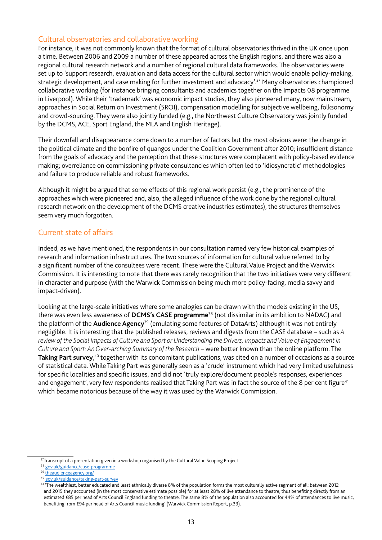## Cultural observatories and collaborative working

For instance, it was not commonly known that the format of cultural observatories thrived in the UK once upon a time. Between 2006 and 2009 a number of these appeared across the English regions, and there was also a regional cultural research network and a number of regional cultural data frameworks. The observatories were set up to 'support research, evaluation and data access for the cultural sector which would enable policy-making, strategic development, and case making for further investment and advocacy'.<sup>37</sup> Many observatories championed collaborative working (for instance bringing consultants and academics together on the Impacts 08 programme in Liverpool). While their 'trademark' was economic impact studies, they also pioneered many, now mainstream, approaches in Social Return on Investment (SROI), compensation modelling for subjective wellbeing, folksonomy and crowd-sourcing. They were also jointly funded (e.g., the Northwest Culture Observatory was jointly funded by the DCMS, ACE, Sport England, the MLA and English Heritage).

Their downfall and disappearance come down to a number of factors but the most obvious were: the change in the political climate and the bonfire of quangos under the Coalition Government after 2010; insufficient distance from the goals of advocacy and the perception that these structures were complacent with policy-based evidence making; overreliance on commissioning private consultancies which often led to 'idiosyncratic' methodologies and failure to produce reliable and robust frameworks.

Although it might be argued that some effects of this regional work persist (e.g., the prominence of the approaches which were pioneered and, also, the alleged infuence of the work done by the regional cultural research network on the development of the DCMS creative industries estimates), the structures themselves seem very much forgotten.

## Current state of affairs

Indeed, as we have mentioned, the respondents in our consultation named very few historical examples of research and information infrastructures. The two sources of information for cultural value referred to by a signifcant number of the consultees were recent. These were the Cultural Value Project and the Warwick Commission. It is interesting to note that there was rarely recognition that the two initiatives were very different in character and purpose (with the Warwick Commission being much more policy-facing, media savvy and impact-driven).

Looking at the large-scale initiatives where some analogies can be drawn with the models existing in the US, there was even less awareness of **DCMS's CASE programme**38 (not dissimilar in its ambition to NADAC) and the platform of the **Audience Agency**39 (emulating some features of DataArts) although it was not entirely negligible. It is interesting that the published releases, reviews and digests from the CASE database – such as *A*  review of the Social Impacts of Culture and Sport or Understanding the Drivers, Impacts and Value of Engagement in *Culture and Sport: An Over-arching Summary of the Research* – were better known than the online platform. The **Taking Part survey**,<sup>40</sup> together with its concomitant publications, was cited on a number of occasions as a source of statistical data. While Taking Part was generally seen as a 'crude' instrument which had very limited usefulness for specific localities and specific issues, and did not 'truly explore/document people's responses, experiences and engagement', very few respondents realised that Taking Part was in fact the source of the 8 per cent figure<sup>41</sup> which became notorious because of the way it was used by the Warwick Commission.

<sup>&</sup>lt;sup>37</sup>Transcript of a presentation given in a workshop organised by the Cultural Value Scoping Project.

<sup>38</sup> [gov.uk/guidance/case-programme](https://www.gov.uk/guidance/case-programme)

<sup>39</sup> [theaudienceagency.org/](https://www.theaudienceagency.org/)

[gov.uk/guidance/taking-part-survey](https://www.gov.uk/guidance/taking-part-survey)

<sup>41 &#</sup>x27;The wealthiest, better educated and least ethnically diverse 8% of the population forms the most culturally active segment of all: between 2012 and 2015 they accounted (in the most conservative estimate possible) for at least 28% of live attendance to theatre, thus benefting directly from an estimated £85 per head of Arts Council England funding to theatre. The same 8% of the population also accounted for 44% of attendances to live music, benefting from £94 per head of Arts Council music funding' (Warwick Commission Report, p.33).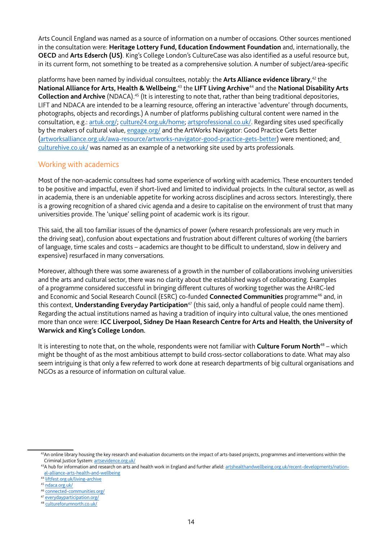Arts Council England was named as a source of information on a number of occasions. Other sources mentioned in the consultation were: **Heritage Lottery Fund, Education Endowment Foundation** and, internationally, the **OECD** and **Arts Edserch (US)**. King's College London's CultureCase was also identifed as a useful resource but, in its current form, not something to be treated as a comprehensive solution. A number of subject/area-specifc

platforms have been named by individual consultees, notably: the **Arts Alliance evidence library**, 42 the **National Alliance for Arts, Health & Wellbeing**, 43 the **LIFT Living Archive**44 and the **National Disability Arts Collection and Archive** (NDACA).45 (It is interesting to note that, rather than being traditional depositories, LIFT and NDACA are intended to be a learning resource, offering an interactive 'adventure' through documents, photographs, objects and recordings.) A number of platforms publishing cultural content were named in the consultation, e.g.: [artuk.org/](https://artuk.org/); [culture24.org.uk/home;](http://www.culture24.org.uk/home) [artsprofessional.co.uk/](http://www.artsprofessional.co.uk/). Regarding sites used specifcally by the makers of cultural value, [engage.org/](http://www.engage.org/) and the ArtWorks Navigator: Good Practice Gets Better ([artworksalliance.org.uk/awa-resource/artworks-navigator-good-practice-gets-better](http://www.artworksalliance.org.uk/awa-resource/artworks-navigator-good-practice-gets-better)) were mentioned; and [culturehive.co.uk/](http://www.culturehive.co.uk/) was named as an example of a networking site used by arts professionals.

## Working with academics

Most of the non-academic consultees had some experience of working with academics. These encounters tended to be positive and impactful, even if short-lived and limited to individual projects. In the cultural sector, as well as in academia, there is an undeniable appetite for working across disciplines and across sectors. Interestingly, there is a growing recognition of a shared civic agenda and a desire to capitalise on the environment of trust that many universities provide. The 'unique' selling point of academic work is its rigour.

This said, the all too familiar issues of the dynamics of power (where research professionals are very much in the driving seat), confusion about expectations and frustration about different cultures of working (the barriers of language, time scales and costs – academics are thought to be diffcult to understand, slow in delivery and expensive) resurfaced in many conversations.

Moreover, although there was some awareness of a growth in the number of collaborations involving universities and the arts and cultural sector, there was no clarity about the established ways of collaborating. Examples of a programme considered successful in bringing different cultures of working together was the AHRC-led and Economic and Social Research Council (ESRC) co-funded **Connected Communities** programme46 and, in this context, **Understanding Everyday Participation**47 (this said, only a handful of people could name them). Regarding the actual institutions named as having a tradition of inquiry into cultural value, the ones mentioned more than once were: **ICC Liverpool, Sidney De Haan Research Centre for Arts and Health**, **the University of Warwick and King's College London.**

It is interesting to note that, on the whole, respondents were not familiar with **Culture Forum North**48 – which might be thought of as the most ambitious attempt to build cross-sector collaborations to date. What may also seem intriguing is that only a few referred to work done at research departments of big cultural organisations and NGOs as a resource of information on cultural value.

<sup>&</sup>lt;sup>42</sup>An online library housing the key research and evaluation documents on the impact of arts-based projects, programmes and interventions within the Criminal Justice System: [artsevidence.org.uk/](http://www.artsevidence.org.uk/)

<sup>43</sup>A hub for information and research on arts and health work in England and further afield: [artshealthandwellbeing.org.uk/recent-developments/nation](http://www.artshealthandwellbeing.org.uk/recent-developments/national-alliance-arts-health-and-wellbeing)[al-alliance-arts-health-and-wellbeing](http://www.artshealthandwellbeing.org.uk/recent-developments/national-alliance-arts-health-and-wellbeing)

<sup>44</sup> [liftfest.org.uk/living-archive](http://www.liftfest.org.uk/living-archive)

<sup>45</sup> [ndaca.org.uk/](http://www.ndaca.org.uk/)

<sup>46</sup> [connected-communities.org/](https://connected-communities.org/)

<sup>47</sup> [everydayparticipation.org/](http://www.everydayparticipation.org/)

<sup>48</sup> [cultureforumnorth.co.uk/](http://www.cultureforumnorth.co.uk/)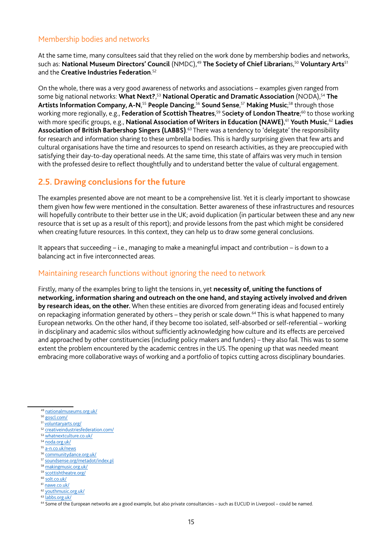## Membership bodies and networks

At the same time, many consultees said that they relied on the work done by membership bodies and networks, such as: **National Museum Directors' Council** (NMDC),<sup>49</sup> The Society of Chief Librarians,<sup>50</sup> Voluntary Arts<sup>51</sup> and the **Creative Industries Federation**. 52

On the whole, there was a very good awareness of networks and associations – examples given ranged from some big national networks: What Next?,<sup>53</sup> National Operatic and Dramatic Association (NODA),<sup>54</sup> The **Artists Information Company, A-N**, <sup>55</sup> **People Dancing**, <sup>56</sup> **Sound Sense**, <sup>57</sup> **Making Music**; 58 through those working more regionally, e.g., **Federation of Scottish Theatres**, 59 S**ociety of London Theatre**; 60 to those working with more specific groups, e.g., **National Association of Writers in Education (NAWE),<sup>61</sup> Youth Music,<sup>62</sup> Ladies Association of British Barbershop Singers (LABBS)**. 63 There was a tendency to 'delegate' the responsibility for research and information sharing to these umbrella bodies. This is hardly surprising given that few arts and cultural organisations have the time and resources to spend on research activities, as they are preoccupied with satisfying their day-to-day operational needs. At the same time, this state of affairs was very much in tension with the professed desire to reflect thoughtfully and to understand better the value of cultural engagement.

## **2.5. Drawing conclusions for the future**

The examples presented above are not meant to be a comprehensive list. Yet it is clearly important to showcase them given how few were mentioned in the consultation. Better awareness of these infrastructures and resources will hopefully contribute to their better use in the UK; avoid duplication (in particular between these and any new resource that is set up as a result of this report); and provide lessons from the past which might be considered when creating future resources. In this context, they can help us to draw some general conclusions.

It appears that succeeding – i.e., managing to make a meaningful impact and contribution – is down to a balancing act in five interconnected areas.

#### Maintaining research functions without ignoring the need to network

Firstly, many of the examples bring to light the tensions in, yet **necessity of, uniting the functions of networking, information sharing and outreach on the one hand, and staying actively involved and driven by research ideas, on the other.** When these entities are divorced from generating ideas and focused entirely on repackaging information generated by others - they perish or scale down.<sup>64</sup> This is what happened to many European networks. On the other hand, if they become too isolated, self-absorbed or self-referential – working in disciplinary and academic silos without sufficiently acknowledging how culture and its effects are perceived and approached by other constituencies (including policy makers and funders) – they also fail. This was to some extent the problem encountered by the academic centres in the US. The opening up that was needed meant embracing more collaborative ways of working and a portfolio of topics cutting across disciplinary boundaries.

- <sup>52</sup> [creativeindustriesfederation.com/](http://www.creativeindustriesfederation.com/)
- <sup>53</sup> [whatnextculture.co.uk/](http://www.whatnextculture.co.uk/)
- <sup>54</sup> [noda.org.uk/](https://www.noda.org.uk/)
- <sup>55</sup> [a-n.co.uk/news](https://www.a-n.co.uk/news)
- <sup>56</sup> [communitydance.org.uk/](http://www.communitydance.org.uk/)
- <sup>57</sup> [soundsense.org/metadot/index.pl](http://www.soundsense.org/metadot/index.pl)
- <sup>58</sup> [makingmusic.org.uk/](https://www.makingmusic.org.uk/)
- <sup>59</sup> [scottishtheatre.org/](http://www.scottishtheatre.org/)
- <sup>60</sup> [solt.co.uk/](http://solt.co.uk/)
- 61 [nawe.co.uk/](http://www.nawe.co.uk/) <sup>62</sup> [youthmusic.org.uk/](https://www.youthmusic.org.uk/)

<sup>49</sup> [nationalmuseums.org.uk/](http://www.nationalmuseums.org.uk/)

<sup>50</sup> [goscl.com/](http://goscl.com/)

<sup>51</sup> [voluntaryarts.org/](https://www.voluntaryarts.org/)

<sup>63</sup> [labbs.org.uk/](https://www.labbs.org.uk/)

<sup>64</sup> Some of the European networks are a good example, but also private consultancies – such as EUCLID in Liverpool – could be named.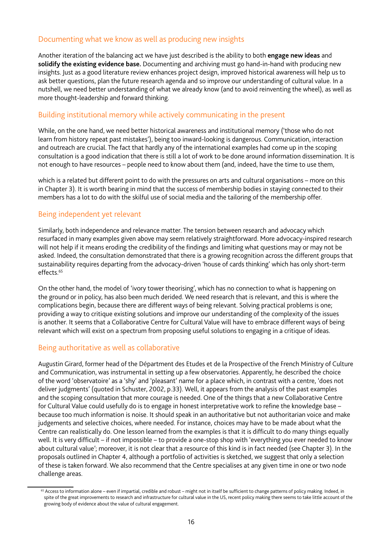# Documenting what we know as well as producing new insights

Another iteration of the balancing act we have just described is the ability to both **engage new ideas** and **solidify the existing evidence base.** Documenting and archiving must go hand-in-hand with producing new insights. Just as a good literature review enhances project design, improved historical awareness will help us to ask better questions, plan the future research agenda and so improve our understanding of cultural value. In a nutshell, we need better understanding of what we already know (and to avoid reinventing the wheel), as well as more thought-leadership and forward thinking.

## Building institutional memory while actively communicating in the present

While, on the one hand, we need better historical awareness and institutional memory ('those who do not learn from history repeat past mistakes'), being too inward-looking is dangerous. Communication, interaction and outreach are crucial. The fact that hardly any of the international examples had come up in the scoping consultation is a good indication that there is still a lot of work to be done around information dissemination. It is not enough to have resources – people need to know about them (and, indeed, have the time to use them,

which is a related but different point to do with the pressures on arts and cultural organisations – more on this in Chapter 3). It is worth bearing in mind that the success of membership bodies in staying connected to their members has a lot to do with the skilful use of social media and the tailoring of the membership offer.

## Being independent yet relevant

Similarly, both independence and relevance matter. The tension between research and advocacy which resurfaced in many examples given above may seem relatively straightforward. More advocacy-inspired research will not help if it means eroding the credibility of the fndings and limiting what questions may or may not be asked. Indeed, the consultation demonstrated that there is a growing recognition across the different groups that sustainability requires departing from the advocacy-driven 'house of cards thinking' which has only short-term effects<sup>65</sup>

On the other hand, the model of 'ivory tower theorising', which has no connection to what is happening on the ground or in policy, has also been much derided. We need research that is relevant, and this is where the complications begin, because there are different ways of being relevant. Solving practical problems is one; providing a way to critique existing solutions and improve our understanding of the complexity of the issues is another. It seems that a Collaborative Centre for Cultural Value will have to embrace different ways of being relevant which will exist on a spectrum from proposing useful solutions to engaging in a critique of ideas.

# Being authoritative as well as collaborative

Augustin Girard, former head of the Départment des Etudes et de la Prospective of the French Ministry of Culture and Communication, was instrumental in setting up a few observatories. Apparently, he described the choice of the word 'observatoire' as a 'shy' and 'pleasant' name for a place which, in contrast with a centre, 'does not deliver judgments' (quoted in Schuster, 2002, p.33). Well, it appears from the analysis of the past examples and the scoping consultation that more courage is needed. One of the things that a new Collaborative Centre for Cultural Value could usefully do is to engage in honest interpretative work to refne the knowledge base – because too much information is noise. It should speak in an authoritative but not authoritarian voice and make judgements and selective choices, where needed. For instance, choices may have to be made about what the Centre can realistically do. One lesson learned from the examples is that it is diffcult to do many things equally well. It is very difficult – if not impossible – to provide a one-stop shop with 'everything you ever needed to know about cultural value'; moreover, it is not clear that a resource of this kind is in fact needed (see Chapter 3). In the proposals outlined in Chapter 4, although a portfolio of activities is sketched, we suggest that only a selection of these is taken forward. We also recommend that the Centre specialises at any given time in one or two node challenge areas.

<sup>&</sup>lt;sup>65</sup> Access to information alone – even if impartial, credible and robust – might not in itself be sufficient to change patterns of policy making. Indeed, in spite of the great improvements to research and infrastructure for cultural value in the US, recent policy making there seems to take little account of the growing body of evidence about the value of cultural engagement.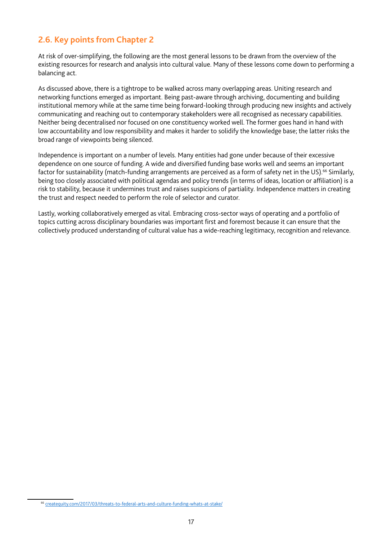# **2.6. Key points from Chapter 2**

At risk of over-simplifying, the following are the most general lessons to be drawn from the overview of the existing resources for research and analysis into cultural value. Many of these lessons come down to performing a balancing act.

As discussed above, there is a tightrope to be walked across many overlapping areas. Uniting research and networking functions emerged as important. Being past-aware through archiving, documenting and building institutional memory while at the same time being forward-looking through producing new insights and actively communicating and reaching out to contemporary stakeholders were all recognised as necessary capabilities. Neither being decentralised nor focused on one constituency worked well. The former goes hand in hand with low accountability and low responsibility and makes it harder to solidify the knowledge base; the latter risks the broad range of viewpoints being silenced.

Independence is important on a number of levels. Many entities had gone under because of their excessive dependence on one source of funding. A wide and diversifed funding base works well and seems an important factor for sustainability (match-funding arrangements are perceived as a form of safety net in the US).<sup>66</sup> Similarly, being too closely associated with political agendas and policy trends (in terms of ideas, location or affliation) is a risk to stability, because it undermines trust and raises suspicions of partiality. Independence matters in creating the trust and respect needed to perform the role of selector and curator.

Lastly, working collaboratively emerged as vital. Embracing cross-sector ways of operating and a portfolio of topics cutting across disciplinary boundaries was important frst and foremost because it can ensure that the collectively produced understanding of cultural value has a wide-reaching legitimacy, recognition and relevance.

<sup>66</sup> [createquity.com/2017/03/threats-to-federal-arts-and-culture-funding-whats-at-stake/](http://createquity.com/2017/03/threats-to-federal-arts-and-culture-funding-whats-at-stake/)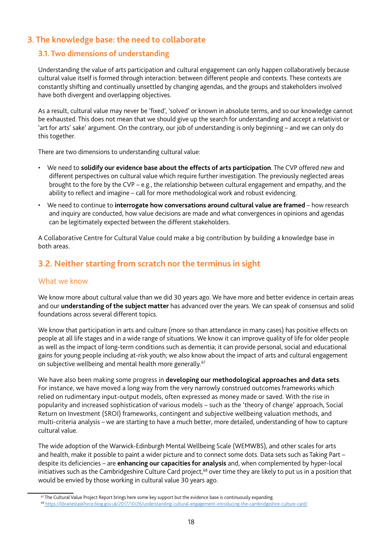# **3. The knowledge base: the need to collaborate**

# **3.1. Two dimensions of understanding**

Understanding the value of arts participation and cultural engagement can only happen collaboratively because cultural value itself is formed through interaction: between different people and contexts. These contexts are constantly shifting and continually unsettled by changing agendas, and the groups and stakeholders involved have both divergent and overlapping objectives.

As a result, cultural value may never be 'fixed', 'solved' or known in absolute terms, and so our knowledge cannot be exhausted. This does not mean that we should give up the search for understanding and accept a relativist or 'art for arts' sake' argument. On the contrary, our job of understanding is only beginning – and we can only do this together.

There are two dimensions to understanding cultural value:

- We need to **solidify our evidence base about the effects of arts participation**. The CVP offered new and different perspectives on cultural value which require further investigation. The previously neglected areas brought to the fore by the CVP – e.g., the relationship between cultural engagement and empathy, and the ability to reflect and imagine – call for more methodological work and robust evidencing.
- We need to continue to **interrogate how conversations around cultural value are framed** how research and inquiry are conducted, how value decisions are made and what convergences in opinions and agendas can be legitimately expected between the different stakeholders.

A Collaborative Centre for Cultural Value could make a big contribution by building a knowledge base in both areas.

# **3.2. Neither starting from scratch nor the terminus in sight**

#### What we know

We know more about cultural value than we did 30 years ago. We have more and better evidence in certain areas and our **understanding of the subject matter** has advanced over the years. We can speak of consensus and solid foundations across several different topics.

We know that participation in arts and culture (more so than attendance in many cases) has positive effects on people at all life stages and in a wide range of situations. We know it can improve quality of life for older people as well as the impact of long-term conditions such as dementia; it can provide personal, social and educational gains for young people including at-risk youth; we also know about the impact of arts and cultural engagement on subjective wellbeing and mental health more generally.<sup>67</sup>

We have also been making some progress in **developing our methodological approaches and data sets**. For instance, we have moved a long way from the very narrowly construed outcomes frameworks which relied on rudimentary input-output models, often expressed as money made or saved. With the rise in popularity and increased sophistication of various models – such as the 'theory of change' approach, Social Return on Investment (SROI) frameworks, contingent and subjective wellbeing valuation methods, and multi-criteria analysis – we are starting to have a much better, more detailed, understanding of how to capture cultural value.

The wide adoption of the Warwick-Edinburgh Mental Wellbeing Scale (WEMWBS), and other scales for arts and health, make it possible to paint a wider picture and to connect some dots. Data sets such as Taking Part – despite its deficiencies – are **enhancing our capacities for analysis** and, when complemented by hyper-local initiatives such as the Cambridgeshire Culture Card project,<sup>68</sup> over time they are likely to put us in a position that would be envied by those working in cultural value 30 years ago.

<sup>&</sup>lt;sup>67</sup> The Cultural Value Project Report brings here some key support but the evidence base is continuously expanding.

<sup>68</sup><https://librariestaskforce.blog.gov.uk/2017/10/26/understanding-cultural-engagement-introducing-the-cambridgeshire-culture-card/>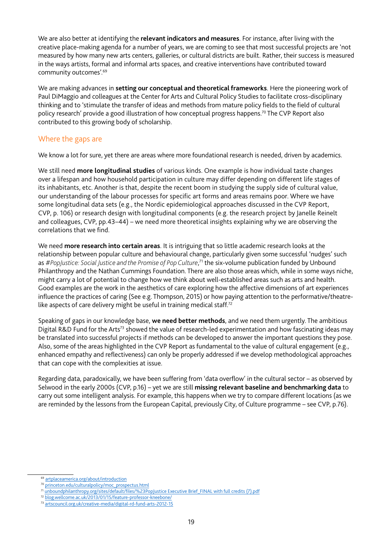We are also better at identifying the **relevant indicators and measures**. For instance, after living with the creative place-making agenda for a number of years, we are coming to see that most successful projects are 'not measured by how many new arts centers, galleries, or cultural districts are built. Rather, their success is measured in the ways artists, formal and informal arts spaces, and creative interventions have contributed toward community outcomes'.69

We are making advances in **setting our conceptual and theoretical frameworks**. Here the pioneering work of Paul DiMaggio and colleagues at the Center for Arts and Cultural Policy Studies to facilitate cross-disciplinary thinking and to 'stimulate the transfer of ideas and methods from mature policy felds to the feld of cultural policy research' provide a good illustration of how conceptual progress happens.<sup>70</sup> The CVP Report also contributed to this growing body of scholarship.

# Where the gaps are

We know a lot for sure, yet there are areas where more foundational research is needed, driven by academics.

We still need **more longitudinal studies** of various kinds. One example is how individual taste changes over a lifespan and how household participation in culture may differ depending on different life stages of its inhabitants, etc. Another is that, despite the recent boom in studying the supply side of cultural value, our understanding of the labour processes for specific art forms and areas remains poor. Where we have some longitudinal data sets (e.g., the Nordic epidemiological approaches discussed in the CVP Report, CVP, p. 106) or research design with longitudinal components (e.g. the research project by Janelle Reinelt and colleagues, CVP, pp.43–44) – we need more theoretical insights explaining why we are observing the correlations that we find.

We need **more research into certain areas**. It is intriguing that so little academic research looks at the relationship between popular culture and behavioural change, particularly given some successful 'nudges' such as #PopJustice: Social Justice and the Promise of Pop Culture,<sup>71</sup> the six-volume publication funded by Unbound Philanthropy and the Nathan Cummings Foundation. There are also those areas which, while in some ways niche, might carry a lot of potential to change how we think about well-established areas such as arts and health. Good examples are the work in the aesthetics of care exploring how the affective dimensions of art experiences infuence the practices of caring (See e.g. Thompson, 2015) or how paying attention to the performative/theatrelike aspects of care delivery might be useful in training medical staff.<sup>72</sup>

Speaking of gaps in our knowledge base, **we need better methods**, and we need them urgently. The ambitious Digital R&D Fund for the Arts<sup>73</sup> showed the value of research-led experimentation and how fascinating ideas may be translated into successful projects if methods can be developed to answer the important questions they pose. Also, some of the areas highlighted in the CVP Report as fundamental to the value of cultural engagement (e.g., enhanced empathy and refectiveness) can only be properly addressed if we develop methodological approaches that can cope with the complexities at issue.

Regarding data, paradoxically, we have been suffering from 'data overflow' in the cultural sector – as observed by Selwood in the early 2000s (CVP, p.16) – yet we are still **missing relevant baseline and benchmarking data** to carry out some intelligent analysis. For example, this happens when we try to compare different locations (as we are reminded by the lessons from the European Capital, previously City, of Culture programme – see CVP, p.76).

<sup>69</sup> [artplaceamerica.org/about/introduction](http://www.artplaceamerica.org/about/introduction)

<sup>70</sup> [princeton.edu/culturalpolicy/moc\\_prospectus.html](https://www.princeton.edu/culturalpolicy/moc_prospectus.html)

<sup>71</sup> [unboundphilanthropy.org/sites/default/fles/%23PopJustice Executive Brief\\_FINAL with full credits \(7\).pdf](https://www.unboundphilanthropy.org/sites/default/files/%23PopJustice%20Executive%20Brief_FINAL%20with%20full%20credits%20(7).pdf)

<sup>72</sup> [blog.wellcome.ac.uk/2013/01/15/feature-professor-kneebone/](https://blog.wellcome.ac.uk/2013/01/15/feature-professor-kneebone/)

<sup>73</sup> [artscouncil.org.uk/creative-media/digital-rd-fund-arts-2012-15](http://www.artscouncil.org.uk/creative-media/digital-rd-fund-arts-2012-15)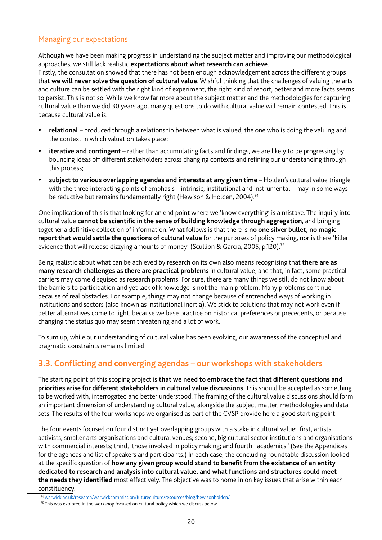## Managing our expectations

Although we have been making progress in understanding the subject matter and improving our methodological approaches, we still lack realistic **expectations about what research can achieve**.

Firstly, the consultation showed that there has not been enough acknowledgement across the different groups that **we will never solve the question of cultural value**. Wishful thinking that the challenges of valuing the arts and culture can be settled with the right kind of experiment, the right kind of report, better and more facts seems to persist. This is not so. While we know far more about the subject matter and the methodologies for capturing cultural value than we did 30 years ago, many questions to do with cultural value will remain contested. This is because cultural value is:

- **relational** produced through a relationship between what is valued, the one who is doing the valuing and the context in which valuation takes place;
- • **iterative and contingent** rather than accumulating facts and fndings, we are likely to be progressing by bouncing ideas off different stakeholders across changing contexts and refning our understanding through this process;
- subject to various overlapping agendas and interests at any given time Holden's cultural value triangle with the three interacting points of emphasis – intrinsic, institutional and instrumental – may in some ways be reductive but remains fundamentally right (Hewison & Holden, 2004).<sup>74</sup>

One implication of this is that looking for an end point where we 'know everything' is a mistake. The inquiry into cultural value **cannot be scientifc in the sense of building knowledge through aggregation**, and bringing together a defnitive collection of information. What follows is that there is **no one silver bullet, no magic report that would settle the questions of cultural value** for the purposes of policy making, nor is there 'killer evidence that will release dizzying amounts of money' (Scullion & García, 2005, p.120).<sup>75</sup>

Being realistic about what can be achieved by research on its own also means recognising that **there are as many research challenges as there are practical problems** in cultural value, and that, in fact, some practical barriers may come disguised as research problems. For sure, there are many things we still do not know about the barriers to participation and yet lack of knowledge is not the main problem. Many problems continue because of real obstacles. For example, things may not change because of entrenched ways of working in institutions and sectors (also known as institutional inertia). We stick to solutions that may not work even if better alternatives come to light, because we base practice on historical preferences or precedents, or because changing the status quo may seem threatening and a lot of work.

To sum up, while our understanding of cultural value has been evolving, our awareness of the conceptual and pragmatic constraints remains limited.

# **3.3. Conflicting and converging agendas – our workshops with stakeholders**

The starting point of this scoping project is **that we need to embrace the fact that different questions and priorities arise for different stakeholders in cultural value discussions**. This should be accepted as something to be worked with, interrogated and better understood. The framing of the cultural value discussions should form an important dimension of understanding cultural value, alongside the subject matter, methodologies and data sets. The results of the four workshops we organised as part of the CVSP provide here a good starting point.

The four events focused on four distinct yet overlapping groups with a stake in cultural value: first, artists, activists, smaller arts organisations and cultural venues; second, big cultural sector institutions and organisations with commercial interests; third, those involved in policy making; and fourth, academics.' (See the Appendices for the agendas and list of speakers and participants.) In each case, the concluding roundtable discussion looked at the specific question of **how any given group would stand to benefit from the existence of an entity dedicated to research and analysis into cultural value, and what functions and structures could meet the needs they identifed** most effectively. The objective was to home in on key issues that arise within each constituency.

<sup>74</sup> [warwick.ac.uk/research/warwickcommission/futureculture/resources/blog/hewisonholden/](http://www2.warwick.ac.uk/research/warwickcommission/futureculture/resources/blog/hewisonholden/)

 $75$  This was explored in the workshop focused on cultural policy which we discuss below.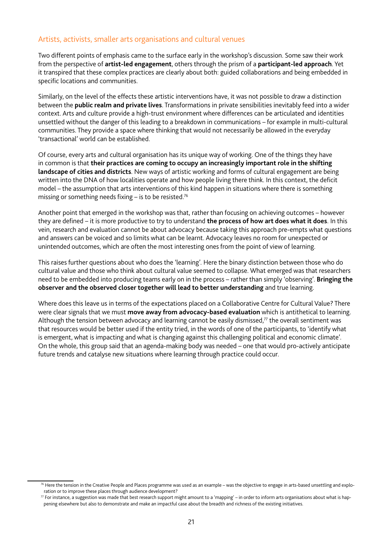## Artists, activists, smaller arts organisations and cultural venues

Two different points of emphasis came to the surface early in the workshop's discussion. Some saw their work from the perspective of **artist-led engagement**, others through the prism of a **participant-led approach**. Yet it transpired that these complex practices are clearly about both: guided collaborations and being embedded in specific locations and communities.

Similarly, on the level of the effects these artistic interventions have, it was not possible to draw a distinction between the **public realm and private lives**. Transformations in private sensibilities inevitably feed into a wider context. Arts and culture provide a high-trust environment where differences can be articulated and identities unsettled without the danger of this leading to a breakdown in communications – for example in multi-cultural communities. They provide a space where thinking that would not necessarily be allowed in the everyday 'transactional' world can be established.

Of course, every arts and cultural organisation has its unique way of working. One of the things they have in common is that **their practices are coming to occupy an increasingly important role in the shifting landscape of cities and districts**. New ways of artistic working and forms of cultural engagement are being written into the DNA of how localities operate and how people living there think. In this context, the deficit model – the assumption that arts interventions of this kind happen in situations where there is something missing or something needs fixing  $-$  is to be resisted.<sup>76</sup>

Another point that emerged in the workshop was that, rather than focusing on achieving outcomes – however they are defned – it is more productive to try to understand **the process of how art does what it does**. In this vein, research and evaluation cannot be about advocacy because taking this approach pre-empts what questions and answers can be voiced and so limits what can be learnt. Advocacy leaves no room for unexpected or unintended outcomes, which are often the most interesting ones from the point of view of learning.

This raises further questions about who does the 'learning'. Here the binary distinction between those who do cultural value and those who think about cultural value seemed to collapse. What emerged was that researchers need to be embedded into producing teams early on in the process – rather than simply 'observing'. **Bringing the observer and the observed closer together will lead to better understanding** and true learning.

Where does this leave us in terms of the expectations placed on a Collaborative Centre for Cultural Value? There were clear signals that we must **move away from advocacy-based evaluation** which is antithetical to learning. Although the tension between advocacy and learning cannot be easily dismissed, $77$  the overall sentiment was that resources would be better used if the entity tried, in the words of one of the participants, to 'identify what is emergent, what is impacting and what is changing against this challenging political and economic climate'. On the whole, this group said that an agenda-making body was needed – one that would pro-actively anticipate future trends and catalyse new situations where learning through practice could occur.

<sup>&</sup>lt;sup>76</sup> Here the tension in the Creative People and Places programme was used as an example – was the objective to engage in arts-based unsettling and exploration or to improve these places through audience development?

 $\pi$  For instance, a suggestion was made that best research support might amount to a 'mapping' – in order to inform arts organisations about what is happening elsewhere but also to demonstrate and make an impactful case about the breadth and richness of the existing initiatives.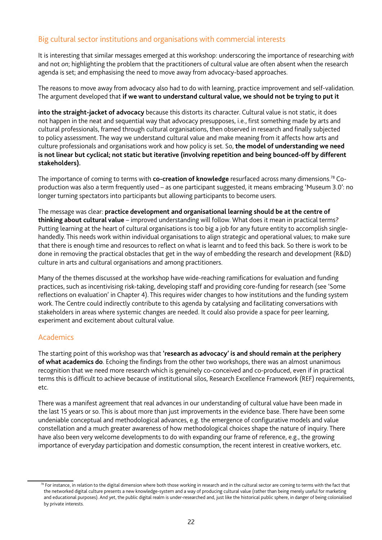# Big cultural sector institutions and organisations with commercial interests

It is interesting that similar messages emerged at this workshop: underscoring the importance of researching *with*  and not *on*; highlighting the problem that the practitioners of cultural value are often absent when the research agenda is set; and emphasising the need to move away from advocacy-based approaches.

The reasons to move away from advocacy also had to do with learning, practice improvement and self-validation. The argument developed that **if we want to understand cultural value, we should not be trying to put it** 

**into the straight-jacket of advocacy** because this distorts its character. Cultural value is not static, it does not happen in the neat and sequential way that advocacy presupposes, i.e., frst something made by arts and cultural professionals, framed through cultural organisations, then observed in research and fnally subjected to policy assessment. The way we understand cultural value and make meaning from it affects how arts and culture professionals and organisations work and how policy is set. So, **the model of understanding we need is not linear but cyclical; not static but iterative (involving repetition and being bounced-off by different stakeholders).**

The importance of coming to terms with **co-creation of knowledge** resurfaced across many dimensions.78 Coproduction was also a term frequently used – as one participant suggested, it means embracing 'Museum 3.0': no longer turning spectators into participants but allowing participants to become users.

The message was clear: **practice development and organisational learning should be at the centre of thinking about cultural value** – improved understanding will follow. What does it mean in practical terms? Putting learning at the heart of cultural organisations is too big a job for any future entity to accomplish singlehandedly. This needs work within individual organisations to align strategic and operational values; to make sure that there is enough time and resources to reflect on what is learnt and to feed this back. So there is work to be done in removing the practical obstacles that get in the way of embedding the research and development (R&D) culture in arts and cultural organisations and among practitioners.

Many of the themes discussed at the workshop have wide-reaching ramifcations for evaluation and funding practices, such as incentivising risk-taking, developing staff and providing core-funding for research (see 'Some refections on evaluation' in Chapter 4). This requires wider changes to how institutions and the funding system work. The Centre could indirectly contribute to this agenda by catalysing and facilitating conversations with stakeholders in areas where systemic changes are needed. It could also provide a space for peer learning, experiment and excitement about cultural value.

# Academics

The starting point of this workshop was that **'research as advocacy' is and should remain at the periphery**  of what academics do. Echoing the findings from the other two workshops, there was an almost unanimous recognition that we need more research which is genuinely co-conceived and co-produced, even if in practical terms this is diffcult to achieve because of institutional silos, Research Excellence Framework (REF) requirements, etc.

There was a manifest agreement that real advances in our understanding of cultural value have been made in the last 15 years or so. This is about more than just improvements in the evidence base. There have been some undeniable conceptual and methodological advances, e.g. the emergence of confgurative models and value constellation and a much greater awareness of how methodological choices shape the nature of inquiry. There have also been very welcome developments to do with expanding our frame of reference, e.g., the growing importance of everyday participation and domestic consumption, the recent interest in creative workers, etc.

<sup>&</sup>lt;sup>78</sup> For instance, in relation to the digital dimension where both those working in research and in the cultural sector are coming to terms with the fact that the networked digital culture presents a new knowledge-system and a way of producing cultural value (rather than being merely useful for marketing and educational purposes). And yet, the public digital realm is under-researched and, just like the historical public sphere, in danger of being colonialised by private interests.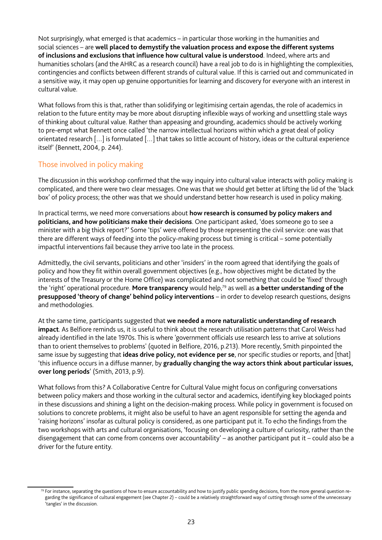Not surprisingly, what emerged is that academics – in particular those working in the humanities and social sciences – are **well placed to demystify the valuation process and expose the different systems of inclusions and exclusions that infuence how cultural value is understood**. Indeed, where arts and humanities scholars (and the AHRC as a research council) have a real job to do is in highlighting the complexities, contingencies and conficts between different strands of cultural value. If this is carried out and communicated in a sensitive way, it may open up genuine opportunities for learning and discovery for everyone with an interest in cultural value.

What follows from this is that, rather than solidifying or legitimising certain agendas, the role of academics in relation to the future entity may be more about disrupting inflexible ways of working and unsettling stale ways of thinking about cultural value. Rather than appeasing and grounding, academics should be actively working to pre-empt what Bennett once called 'the narrow intellectual horizons within which a great deal of policy orientated research […] is formulated […] that takes so little account of history, ideas or the cultural experience itself' (Bennett, 2004, p. 244).

## Those involved in policy making

The discussion in this workshop confirmed that the way inquiry into cultural value interacts with policy making is complicated, and there were two clear messages. One was that we should get better at lifting the lid of the 'black box' of policy process; the other was that we should understand better how research is used in policy making.

In practical terms, we need more conversations about **how research is consumed by policy makers and politicians, and how politicians make their decisions**. One participant asked, 'does someone go to see a minister with a big thick report?' Some 'tips' were offered by those representing the civil service: one was that there are different ways of feeding into the policy-making process but timing is critical – some potentially impactful interventions fail because they arrive too late in the process.

Admittedly, the civil servants, politicians and other 'insiders' in the room agreed that identifying the goals of policy and how they fit within overall government objectives (e.g., how objectives might be dictated by the interests of the Treasury or the Home Office) was complicated and not something that could be 'fixed' through the 'right' operational procedure. **More transparency** would help,79 as well as **a better understanding of the presupposed 'theory of change' behind policy interventions** – in order to develop research questions, designs and methodologies.

At the same time, participants suggested that **we needed a more naturalistic understanding of research impact**. As Belfore reminds us, it is useful to think about the research utilisation patterns that Carol Weiss had already identified in the late 1970s. This is where 'government officials use research less to arrive at solutions than to orient themselves to problems' (quoted in Belfore, 2016, p.213). More recently, Smith pinpointed the same issue by suggesting that **ideas drive policy, not evidence per se**, nor specifc studies or reports, and [that] 'this infuence occurs in a diffuse manner, by **gradually changing the way actors think about particular issues, over long periods**' (Smith, 2013, p.9).

What follows from this? A Collaborative Centre for Cultural Value might focus on confguring conversations between policy makers and those working in the cultural sector and academics, identifying key blockaged points in these discussions and shining a light on the decision-making process. While policy in government is focused on solutions to concrete problems, it might also be useful to have an agent responsible for setting the agenda and 'raising horizons' insofar as cultural policy is considered, as one participant put it. To echo the fndings from the two workshops with arts and cultural organisations, 'focusing on developing a culture of curiosity, rather than the disengagement that can come from concerns over accountability' – as another participant put it – could also be a driver for the future entity.

<sup>79</sup> For instance, separating the questions of how to ensure accountability and how to justify public spending decisions, from the more general question regarding the significance of cultural engagement (see Chapter 2) – could be a relatively straightforward way of cutting through some of the unnecessary 'tangles' in the discussion.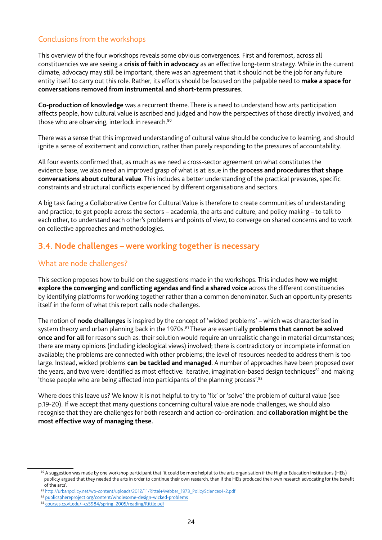# Conclusions from the workshops

This overview of the four workshops reveals some obvious convergences. First and foremost, across all constituencies we are seeing a **crisis of faith in advocacy** as an effective long-term strategy. While in the current climate, advocacy may still be important, there was an agreement that it should not be the job for any future entity itself to carry out this role. Rather, its efforts should be focused on the palpable need to **make a space for conversations removed from instrumental and short-term pressures**.

**Co-production of knowledge** was a recurrent theme. There is a need to understand how arts participation affects people, how cultural value is ascribed and judged and how the perspectives of those directly involved, and those who are observing, interlock in research.<sup>80</sup>

There was a sense that this improved understanding of cultural value should be conducive to learning, and should ignite a sense of excitement and conviction, rather than purely responding to the pressures of accountability.

All four events confirmed that, as much as we need a cross-sector agreement on what constitutes the evidence base, we also need an improved grasp of what is at issue in the **process and procedures that shape conversations about cultural value**. This includes a better understanding of the practical pressures, specifc constraints and structural conficts experienced by different organisations and sectors.

A big task facing a Collaborative Centre for Cultural Value is therefore to create communities of understanding and practice; to get people across the sectors – academia, the arts and culture, and policy making – to talk to each other, to understand each other's problems and points of view, to converge on shared concerns and to work on collective approaches and methodologies.

# **3.4. Node challenges – were working together is necessary**

## What are node challenges?

This section proposes how to build on the suggestions made in the workshops. This includes **how we might explore the converging and conflicting agendas and find a shared voice** across the different constituencies by identifying platforms for working together rather than a common denominator. Such an opportunity presents itself in the form of what this report calls node challenges.

The notion of **node challenges** is inspired by the concept of 'wicked problems' – which was characterised in system theory and urban planning back in the 1970s.<sup>81</sup> These are essentially **problems that cannot be solved once and for all** for reasons such as: their solution would require an unrealistic change in material circumstances; there are many opinions (including ideological views) involved; there is contradictory or incomplete information available; the problems are connected with other problems; the level of resources needed to address them is too large. Instead, wicked problems **can be tackled and managed**. A number of approaches have been proposed over the years, and two were identified as most effective: iterative, imagination-based design techniques $82$  and making 'those people who are being affected into participants of the planning process'.<sup>83</sup>

Where does this leave us? We know it is not helpful to try to 'fix' or 'solve' the problem of cultural value (see p.19-20). If we accept that many questions concerning cultural value are node challenges, we should also recognise that they are challenges for both research and action co-ordination: and **collaboration might be the most effective way of managing these.**

<sup>80</sup> A suggestion was made by one workshop participant that 'it could be more helpful to the arts organisation if the Higher Education Institutions (HEIs) publicly argued that they needed the arts in order to continue their own research, than if the HEIs produced their own research advocating for the beneft of the arts'.

<sup>81</sup> [http://urbanpolicy.net/wp-content/uploads/2012/11/Rittel+Webber\\_1973\\_PolicySciences4-2.pdf](http://urbanpolicy.net/wp-content/uploads/2012/11/Rittel+Webber_1973_PolicySciences4-2.pdf)

<sup>82</sup> [publicsphereproject.org/content/wholesome-design-wicked-problems](http://www.publicsphereproject.org/content/wholesome-design-wicked-problems)

<sup>83</sup> [courses.cs.vt.edu/~cs5984/spring\\_2005/reading/Rittle.pdf](http://courses.cs.vt.edu/~cs5984/spring_2005/reading/Rittle.pdf)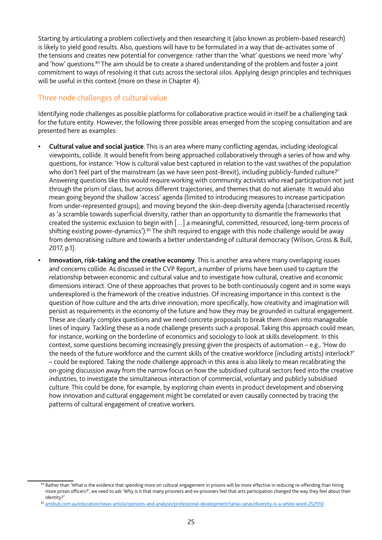Starting by articulating a problem collectively and then researching it (also known as problem-based research) is likely to yield good results. Also, questions will have to be formulated in a way that de-activates some of the tensions and creates new potential for convergence: rather than the 'what' questions we need more 'why' and 'how' questions.<sup>84</sup> The aim should be to create a shared understanding of the problem and foster a joint commitment to ways of resolving it that cuts across the sectoral silos. Applying design principles and techniques will be useful in this context (more on these in Chapter 4).

# Three node challenges of cultural value

Identifying node challenges as possible platforms for collaborative practice would in itself be a challenging task for the future entity. However, the following three possible areas emerged from the scoping consultation and are presented here as examples:

- **• Cultural value and social justice**. This is an area where many conficting agendas, including ideological viewpoints, collide. It would benefit from being approached collaboratively through a series of how and why questions, for instance: 'How is cultural value best captured in relation to the vast swathes of the population who don't feel part of the mainstream (as we have seen post-Brexit), including publicly-funded culture?' Answering questions like this would require working with community activists who read participation not just through the prism of class, but across different trajectories, and themes that do not alienate. It would also mean going beyond the shallow 'access' agenda (limited to introducing measures to increase participation from under-represented groups); and moving beyond the skin-deep diversity agenda (characterised recently as 'a scramble towards superficial diversity, rather than an opportunity to dismantle the frameworks that created the systemic exclusion to begin with […] a meaningful, committed, resourced, long-term process of shifting existing power-dynamics').<sup>85</sup> The shift required to engage with this node challenge would be away from democratising culture and towards a better understanding of cultural democracy (Wilson, Gross & Bull, 2017, p.1).
- **• Innovation, risk-taking and the creative economy**. This is another area where many overlapping issues and concerns collide. As discussed in the CVP Report, a number of prisms have been used to capture the relationship between economic and cultural value and to investigate how cultural, creative and economic dimensions interact. One of these approaches that proves to be both continuously cogent and in some ways underexplored is the framework of the creative industries. Of increasing importance in this context is the question of how culture and the arts drive innovation; more specifcally, how creativity and imagination will persist as requirements in the economy of the future and how they may be grounded in cultural engagement. These are clearly complex questions and we need concrete proposals to break them down into manageable lines of inquiry. Tackling these as a node challenge presents such a proposal. Taking this approach could mean, for instance, working on the borderline of economics and sociology to look at skills development. In this context, some questions becoming increasingly pressing given the prospects of automation – e.g., 'How do the needs of the future workforce and the current skills of the creative workforce (including artists) interlock?' – could be explored. Taking the node challenge approach in this area is also likely to mean recalibrating the on-going discussion away from the narrow focus on how the subsidised cultural sectors feed into the creative industries, to investigate the simultaneous interaction of commercial, voluntary and publicly subsidised culture. This could be done, for example, by exploring chain events in product development and observing how innovation and cultural engagement might be correlated or even causally connected by tracing the patterns of cultural engagement of creative workers.

<sup>84</sup> Rather than 'What is the evidence that spending more on cultural engagement in prisons will be more effective in reducing re-offending than hiring more prison officers?', we need to ask 'Why is it that many prisoners and ex-prisoners feel that arts participation changed the way they feel about their identity?'

<sup>85</sup> [artshub.com.au/education/news-article/opinions-and-analysis/professional-development/tania-canas/diversity-is-a-white-word-252910](http://www.artshub.com.au/education/news-article/opinions-and-analysis/professional-development/tania-canas/diversity-is-a-white-word-252910)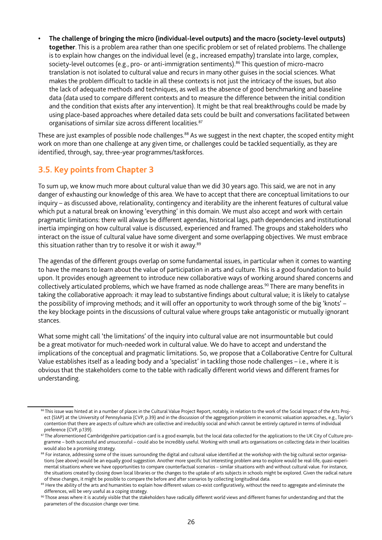**• The challenge of bringing the micro (individual-level outputs) and the macro (society-level outputs) together**. This is a problem area rather than one specifc problem or set of related problems. The challenge is to explain how changes on the individual level (e.g., increased empathy) translate into large, complex, society-level outcomes (e.g., pro- or anti-immigration sentiments).<sup>86</sup> This question of micro-macro translation is not isolated to cultural value and recurs in many other guises in the social sciences. What makes the problem diffcult to tackle in all these contexts is not just the intricacy of the issues, but also the lack of adequate methods and techniques, as well as the absence of good benchmarking and baseline data (data used to compare different contexts and to measure the difference between the initial condition and the condition that exists after any intervention). It might be that real breakthroughs could be made by using place-based approaches where detailed data sets could be built and conversations facilitated between organisations of similar size across different localities.<sup>87</sup>

These are just examples of possible node challenges.<sup>88</sup> As we suggest in the next chapter, the scoped entity might work on more than one challenge at any given time, or challenges could be tackled sequentially, as they are identifed, through, say, three-year programmes/taskforces.

# **3.5. Key points from Chapter 3**

To sum up, we know much more about cultural value than we did 30 years ago. This said, we are not in any danger of exhausting our knowledge of this area. We have to accept that there are conceptual limitations to our inquiry – as discussed above, relationality, contingency and iterability are the inherent features of cultural value which put a natural break on knowing 'everything' in this domain. We must also accept and work with certain pragmatic limitations: there will always be different agendas, historical lags, path dependencies and institutional inertia impinging on how cultural value is discussed, experienced and framed. The groups and stakeholders who interact on the issue of cultural value have some divergent and some overlapping objectives. We must embrace this situation rather than try to resolve it or wish it away.<sup>89</sup>

The agendas of the different groups overlap on some fundamental issues, in particular when it comes to wanting to have the means to learn about the value of participation in arts and culture. This is a good foundation to build upon. It provides enough agreement to introduce new collaborative ways of working around shared concerns and collectively articulated problems, which we have framed as node challenge areas.<sup>90</sup> There are many benefits in taking the collaborative approach: it may lead to substantive fndings about cultural value; it is likely to catalyse the possibility of improving methods; and it will offer an opportunity to work through some of the big 'knots' – the key blockage points in the discussions of cultural value where groups take antagonistic or mutually ignorant stances.

What some might call 'the limitations' of the inquiry into cultural value are not insurmountable but could be a great motivator for much-needed work in cultural value. We do have to accept and understand the implications of the conceptual and pragmatic limitations. So, we propose that a Collaborative Centre for Cultural Value establishes itself as a leading body and a 'specialist' in tackling those node challenges – i.e., where it is obvious that the stakeholders come to the table with radically different world views and different frames for understanding.

<sup>86</sup> This issue was hinted at in a number of places in the Cultural Value Project Report, notably, in relation to the work of the Social Impact of the Arts Project (SIAP) at the University of Pennsylvania (CVP, p.39) and in the discussion of the aggregation problem in economic valuation approaches, e.g., Taylor's contention that there are aspects of culture which are collective and irreducibly social and which cannot be entirely captured in terms of individual preference (CVP, p.139).

<sup>&</sup>lt;sup>87</sup> The aforementioned Cambridgeshire participation card is a good example, but the local data collected for the applications to the UK City of Culture programme – both successful and unsuccessful – could also be incredibly useful. Working with small arts organisations on collecting data in their localities would also be a promising strategy.

<sup>88</sup> For instance, addressing some of the issues surrounding the digital and cultural value identified at the workshop with the big cultural sector organisations (see above) would be an equally good suggestion. Another more specific but interesting problem area to explore would be real-life, quasi-experimental situations where we have opportunities to compare counterfactual scenarios – similar situations with and without cultural value. For instance, the situations created by closing down local libraries or the changes to the uptake of arts subjects in schools might be explored. Given the radical nature of these changes, it might be possible to compare the before and after scenarios by collecting longitudinal data.

<sup>89</sup> Here the ability of the arts and humanities to explain how different values co-exist configuratively, without the need to aggregate and eliminate the differences, will be very useful as a coping strategy.

<sup>90</sup> Those areas where it is acutely visible that the stakeholders have radically different world views and different frames for understanding and that the parameters of the discussion change over time.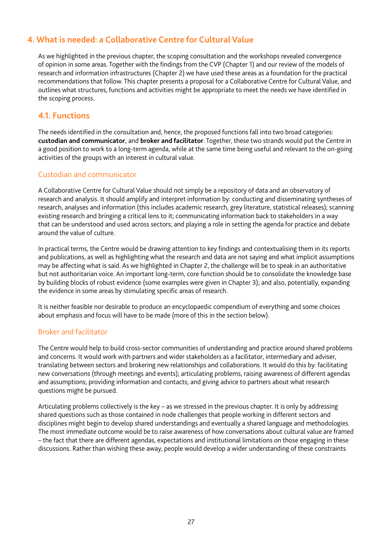# **4. What is needed: a Collaborative Centre for Cultural Value**

As we highlighted in the previous chapter, the scoping consultation and the workshops revealed convergence of opinion in some areas. Together with the fndings from the CVP (Chapter 1) and our review of the models of research and information infrastructures (Chapter 2) we have used these areas as a foundation for the practical recommendations that follow. This chapter presents a proposal for a Collaborative Centre for Cultural Value, and outlines what structures, functions and activities might be appropriate to meet the needs we have identifed in the scoping process.

## **4.1. Functions**

The needs identifed in the consultation and, hence, the proposed functions fall into two broad categories: **custodian and communicator**, and **broker and facilitator**. Together, these two strands would put the Centre in a good position to work to a long-term agenda, while at the same time being useful and relevant to the on-going activities of the groups with an interest in cultural value.

## Custodian and communicator

A Collaborative Centre for Cultural Value should not simply be a repository of data and an observatory of research and analysis. It should amplify and interpret information by: conducting and disseminating syntheses of research, analyses and information (this includes academic research, grey literature, statistical releases); scanning existing research and bringing a critical lens to it; communicating information back to stakeholders in a way that can be understood and used across sectors; and playing a role in setting the agenda for practice and debate around the value of culture.

In practical terms, the Centre would be drawing attention to key findings and contextualising them in its reports and publications, as well as highlighting what the research and data are not saying and what implicit assumptions may be affecting what is said. As we highlighted in Chapter 2, the challenge will be to speak in an authoritative but not authoritarian voice. An important long-term, core function should be to consolidate the knowledge base by building blocks of robust evidence (some examples were given in Chapter 3); and also, potentially, expanding the evidence in some areas by stimulating specific areas of research.

It is neither feasible nor desirable to produce an encyclopaedic compendium of everything and some choices about emphasis and focus will have to be made (more of this in the section below).

## Broker and facilitator

The Centre would help to build cross-sector communities of understanding and practice around shared problems and concerns. It would work with partners and wider stakeholders as a facilitator, intermediary and adviser, translating between sectors and brokering new relationships and collaborations. It would do this by: facilitating new conversations (through meetings and events); articulating problems, raising awareness of different agendas and assumptions; providing information and contacts; and giving advice to partners about what research questions might be pursued.

Articulating problems collectively is the key – as we stressed in the previous chapter. It is only by addressing shared questions such as those contained in node challenges that people working in different sectors and disciplines might begin to develop shared understandings and eventually a shared language and methodologies. The most immediate outcome would be to raise awareness of how conversations about cultural value are framed – the fact that there are different agendas, expectations and institutional limitations on those engaging in these discussions. Rather than wishing these away, people would develop a wider understanding of these constraints.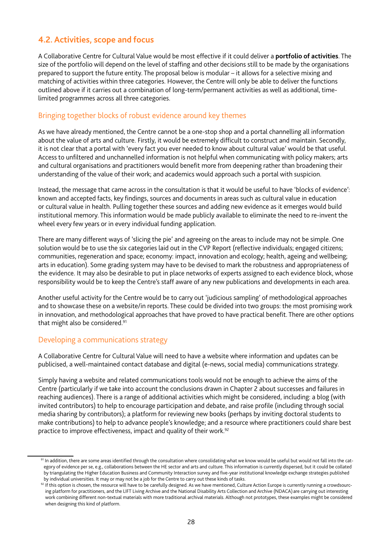# **4.2. Activities, scope and focus**

A Collaborative Centre for Cultural Value would be most effective if it could deliver a **portfolio of activities**. The size of the portfolio will depend on the level of staffing and other decisions still to be made by the organisations prepared to support the future entity. The proposal below is modular – it allows for a selective mixing and matching of activities within three categories. However, the Centre will only be able to deliver the functions outlined above if it carries out a combination of long-term/permanent activities as well as additional, timelimited programmes across all three categories.

## Bringing together blocks of robust evidence around key themes

As we have already mentioned, the Centre cannot be a one-stop shop and a portal channelling all information about the value of arts and culture. Firstly, it would be extremely difficult to construct and maintain. Secondly, it is not clear that a portal with 'every fact you ever needed to know about cultural value' would be that useful. Access to unfltered and unchannelled information is not helpful when communicating with policy makers; arts and cultural organisations and practitioners would beneft more from deepening rather than broadening their understanding of the value of their work; and academics would approach such a portal with suspicion.

Instead, the message that came across in the consultation is that it would be useful to have 'blocks of evidence': known and accepted facts, key findings, sources and documents in areas such as cultural value in education or cultural value in health. Pulling together these sources and adding new evidence as it emerges would build institutional memory. This information would be made publicly available to eliminate the need to re-invent the wheel every few years or in every individual funding application.

There are many different ways of 'slicing the pie' and agreeing on the areas to include may not be simple. One solution would be to use the six categories laid out in the CVP Report (refective individuals; engaged citizens; communities, regeneration and space; economy: impact, innovation and ecology; health, ageing and wellbeing; arts in education). Some grading system may have to be devised to mark the robustness and appropriateness of the evidence. It may also be desirable to put in place networks of experts assigned to each evidence block, whose responsibility would be to keep the Centre's staff aware of any new publications and developments in each area.

Another useful activity for the Centre would be to carry out 'judicious sampling' of methodological approaches and to showcase these on a website/in reports. These could be divided into two groups: the most promising work in innovation, and methodological approaches that have proved to have practical beneft. There are other options that might also be considered.<sup>91</sup>

## Developing a communications strategy

A Collaborative Centre for Cultural Value will need to have a website where information and updates can be publicised, a well-maintained contact database and digital (e-news, social media) communications strategy.

Simply having a website and related communications tools would not be enough to achieve the aims of the Centre (particularly if we take into account the conclusions drawn in Chapter 2 about successes and failures in reaching audiences). There is a range of additional activities which might be considered, including: a blog (with invited contributors) to help to encourage participation and debate, and raise profle (including through social media sharing by contributors); a platform for reviewing new books (perhaps by inviting doctoral students to make contributions) to help to advance people's knowledge; and a resource where practitioners could share best practice to improve effectiveness, impact and quality of their work.<sup>92</sup>

<sup>91</sup> In addition, there are some areas identified through the consultation where consolidating what we know would be useful but would not fall into the category of evidence per se, e.g., collaborations between the HE sector and arts and culture. This information is currently dispersed, but it could be collated by triangulating the Higher Education Business and Community Interaction survey and fve-year institutional knowledge exchange strategies published by individual universities. It may or may not be a job for the Centre to carry out these kinds of tasks.

<sup>92</sup> If this option is chosen, the resource will have to be carefully designed. As we have mentioned, Culture Action Europe is currently running a crowdsourcing platform for practitioners, and the LIFT Living Archive and the National Disability Arts Collection and Archive (NDACA) are carrying out interesting work combining different non-textual materials with more traditional archival materials. Although not prototypes, these examples might be considered when designing this kind of platform.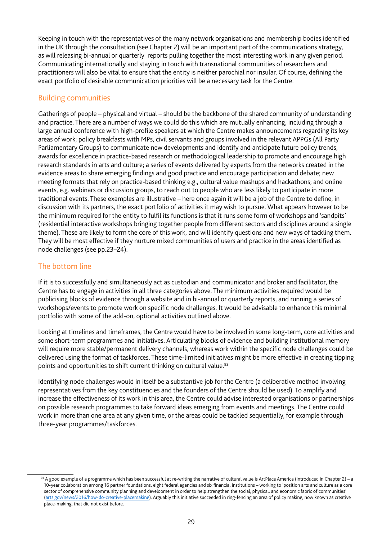Keeping in touch with the representatives of the many network organisations and membership bodies identifed in the UK through the consultation (see Chapter 2) will be an important part of the communications strategy, as will releasing bi-annual or quarterly reports pulling together the most interesting work in any given period. Communicating internationally and staying in touch with transnational communities of researchers and practitioners will also be vital to ensure that the entity is neither parochial nor insular. Of course, defning the exact portfolio of desirable communication priorities will be a necessary task for the Centre.

## Building communities

Gatherings of people – physical and virtual – should be the backbone of the shared community of understanding and practice. There are a number of ways we could do this which are mutually enhancing, including through a large annual conference with high-profle speakers at which the Centre makes announcements regarding its key areas of work; policy breakfasts with MPs, civil servants and groups involved in the relevant APPGs (All Party Parliamentary Groups) to communicate new developments and identify and anticipate future policy trends; awards for excellence in practice-based research or methodological leadership to promote and encourage high research standards in arts and culture; a series of events delivered by experts from the networks created in the evidence areas to share emerging findings and good practice and encourage participation and debate; new meeting formats that rely on practice-based thinking e.g., cultural value mashups and hackathons; and online events, e.g. webinars or discussion groups, to reach out to people who are less likely to participate in more traditional events. These examples are illustrative – here once again it will be a job of the Centre to defne, in discussion with its partners, the exact portfolio of activities it may wish to pursue. What appears however to be the minimum required for the entity to fulfl its functions is that it runs some form of workshops and 'sandpits' (residential interactive workshops bringing together people from different sectors and disciplines around a single theme). These are likely to form the core of this work, and will identify questions and new ways of tackling them. They will be most effective if they nurture mixed communities of users and practice in the areas identifed as node challenges (see pp.23–24).

# The bottom line

If it is to successfully and simultaneously act as custodian and communicator and broker and facilitator, the Centre has to engage in activities in all three categories above. The minimum activities required would be publicising blocks of evidence through a website and in bi-annual or quarterly reports, and running a series of workshops/events to promote work on specific node challenges. It would be advisable to enhance this minimal portfolio with some of the add-on, optional activities outlined above.

Looking at timelines and timeframes, the Centre would have to be involved in some long-term, core activities and some short-term programmes and initiatives. Articulating blocks of evidence and building institutional memory will require more stable/permanent delivery channels, whereas work within the specific node challenges could be delivered using the format of taskforces. These time-limited initiatives might be more effective in creating tipping points and opportunities to shift current thinking on cultural value.<sup>93</sup>

Identifying node challenges would in itself be a substantive job for the Centre (a deliberative method involving representatives from the key constituencies and the founders of the Centre should be used). To amplify and increase the effectiveness of its work in this area, the Centre could advise interested organisations or partnerships on possible research programmes to take forward ideas emerging from events and meetings. The Centre could work in more than one area at any given time, or the areas could be tackled sequentially, for example through three-year programmes/taskforces.

<sup>93</sup> A good example of a programme which has been successful at re-writing the narrative of cultural value is ArtPlace America (introduced in Chapter 2) – a 10-year collaboration among 16 partner foundations, eight federal agencies and six fnancial institutions – working to 'position arts and culture as a core sector of comprehensive community planning and development in order to help strengthen the social, physical, and economic fabric of communities' [\(arts.gov/news/2016/how-do-creative-placemaking\)](https://www.arts.gov/news/2016/how-do-creative-placemaking). Arguably this initiative succeeded in ring-fencing an area of policy making, now known as creative place-making, that did not exist before.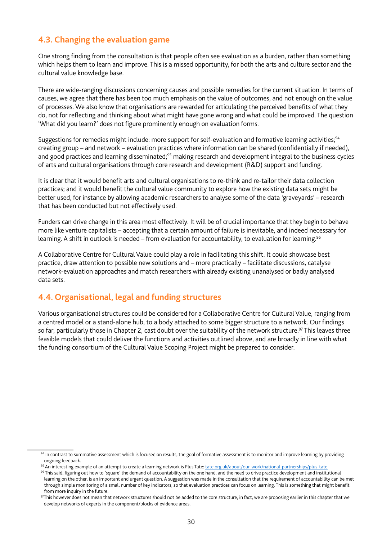# **4.3. Changing the evaluation game**

One strong fnding from the consultation is that people often see evaluation as a burden, rather than something which helps them to learn and improve. This is a missed opportunity, for both the arts and culture sector and the cultural value knowledge base.

There are wide-ranging discussions concerning causes and possible remedies for the current situation. In terms of causes, we agree that there has been too much emphasis on the value of outcomes, and not enough on the value of processes. We also know that organisations are rewarded for articulating the perceived benefts of what they do, not for refecting and thinking about what might have gone wrong and what could be improved. The question 'What did you learn?' does not figure prominently enough on evaluation forms.

Suggestions for remedies might include: more support for self-evaluation and formative learning activities;<sup>94</sup> creating group - and network - evaluation practices where information can be shared (confidentially if needed), and good practices and learning disseminated;<sup>95</sup> making research and development integral to the business cycles of arts and cultural organisations through core research and development (R&D) support and funding.

It is clear that it would benefit arts and cultural organisations to re-think and re-tailor their data collection practices; and it would benefit the cultural value community to explore how the existing data sets might be better used, for instance by allowing academic researchers to analyse some of the data 'graveyards' – research that has been conducted but not effectively used.

Funders can drive change in this area most effectively. It will be of crucial importance that they begin to behave more like venture capitalists – accepting that a certain amount of failure is inevitable, and indeed necessary for learning. A shift in outlook is needed – from evaluation for accountability, to evaluation for learning.<sup>96</sup>

A Collaborative Centre for Cultural Value could play a role in facilitating this shift. It could showcase best practice, draw attention to possible new solutions and – more practically – facilitate discussions, catalyse network-evaluation approaches and match researchers with already existing unanalysed or badly analysed data sets.

# **4.4. Organisational, legal and funding structures**

Various organisational structures could be considered for a Collaborative Centre for Cultural Value, ranging from a centred model or a stand-alone hub, to a body attached to some bigger structure to a network. Our fndings so far, particularly those in Chapter 2, cast doubt over the suitability of the network structure.<sup>97</sup> This leaves three feasible models that could deliver the functions and activities outlined above, and are broadly in line with what the funding consortium of the Cultural Value Scoping Project might be prepared to consider.

<sup>94</sup> In contrast to summative assessment which is focused on results, the goal of formative assessment is to monitor and improve learning by providing ongoing feedback.

<sup>95</sup> An interesting example of an attempt to create a learning network is Plus Tate: [tate.org.uk/about/our-work/national-partnerships/plus-tate](http://www.tate.org.uk/about/our-work/national-partnerships/plus-tate)

<sup>96</sup> This said, figuring out how to 'square' the demand of accountability on the one hand, and the need to drive practice development and institutional learning on the other, is an important and urgent question. A suggestion was made in the consultation that the requirement of accountability can be met through simple monitoring of a small number of key indicators, so that evaluation practices can focus on learning. This is something that might beneft from more inquiry in the future.

<sup>&</sup>lt;sup>97</sup>This however does not mean that network structures should not be added to the core structure, in fact, we are proposing earlier in this chapter that we develop networks of experts in the component/blocks of evidence areas.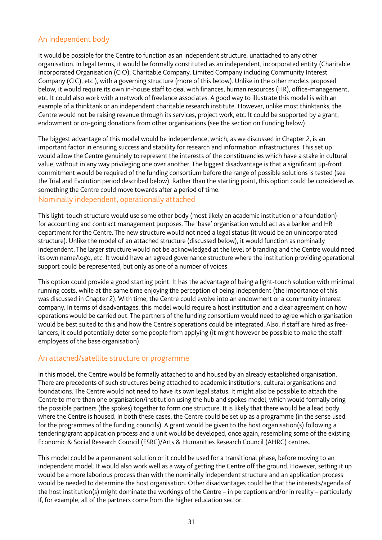# An independent body

It would be possible for the Centre to function as an independent structure, unattached to any other organisation. In legal terms, it would be formally constituted as an independent, incorporated entity (Charitable Incorporated Organisation (CIO); Charitable Company, Limited Company including Community Interest Company (CIC), etc.), with a governing structure (more of this below). Unlike in the other models proposed below, it would require its own in-house staff to deal with finances, human resources (HR), office-management, etc. It could also work with a network of freelance associates. A good way to illustrate this model is with an example of a thinktank or an independent charitable research institute. However, unlike most thinktanks, the Centre would not be raising revenue through its services, project work, etc. It could be supported by a grant, endowment or on-going donations from other organisations (see the section on Funding below).

The biggest advantage of this model would be independence, which, as we discussed in Chapter 2, is an important factor in ensuring success and stability for research and information infrastructures. This set up would allow the Centre genuinely to represent the interests of the constituencies which have a stake in cultural value, without in any way privileging one over another. The biggest disadvantage is that a signifcant up-front commitment would be required of the funding consortium before the range of possible solutions is tested (see the Trial and Evolution period described below). Rather than the starting point, this option could be considered as something the Centre could move towards after a period of time.

#### Nominally independent, operationally attached

This light-touch structure would use some other body (most likely an academic institution or a foundation) for accounting and contract management purposes. The 'base' organisation would act as a banker and HR department for the Centre. The new structure would not need a legal status (it would be an unincorporated structure). Unlike the model of an attached structure (discussed below), it would function as nominally independent. The larger structure would not be acknowledged at the level of branding and the Centre would need its own name/logo, etc. It would have an agreed governance structure where the institution providing operational support could be represented, but only as one of a number of voices.

This option could provide a good starting point. It has the advantage of being a light-touch solution with minimal running costs, while at the same time enjoying the perception of being independent (the importance of this was discussed in Chapter 2). With time, the Centre could evolve into an endowment or a community interest company. In terms of disadvantages, this model would require a host institution and a clear agreement on how operations would be carried out. The partners of the funding consortium would need to agree which organisation would be best suited to this and how the Centre's operations could be integrated. Also, if staff are hired as freelancers, it could potentially deter some people from applying (it might however be possible to make the staff employees of the base organisation).

## An attached/satellite structure or programme

In this model, the Centre would be formally attached to and housed by an already established organisation. There are precedents of such structures being attached to academic institutions, cultural organisations and foundations. The Centre would not need to have its own legal status. It might also be possible to attach the Centre to more than one organisation/institution using the hub and spokes model, which would formally bring the possible partners (the spokes) together to form one structure. It is likely that there would be a lead body where the Centre is housed. In both these cases, the Centre could be set up as a programme (in the sense used for the programmes of the funding councils). A grant would be given to the host organisation(s) following a tendering/grant application process and a unit would be developed, once again, resembling some of the existing Economic & Social Research Council (ESRC)/Arts & Humanities Research Council (AHRC) centres.

This model could be a permanent solution or it could be used for a transitional phase, before moving to an independent model. It would also work well as a way of getting the Centre off the ground. However, setting it up would be a more laborious process than with the nominally independent structure and an application process would be needed to determine the host organisation. Other disadvantages could be that the interests/agenda of the host institution(s) might dominate the workings of the Centre – in perceptions and/or in reality – particularly if, for example, all of the partners come from the higher education sector.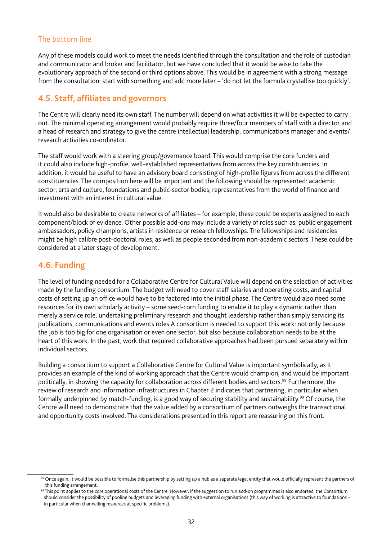# The bottom line

Any of these models could work to meet the needs identifed through the consultation and the role of custodian and communicator and broker and facilitator, but we have concluded that it would be wise to take the evolutionary approach of the second or third options above. This would be in agreement with a strong message from the consultation: start with something and add more later – 'do not let the formula crystallise too quickly'.

# **4.5. Staff, affiliates and governors**

The Centre will clearly need its own staff. The number will depend on what activities it will be expected to carry out. The minimal operating arrangement would probably require three/four members of staff with a director and a head of research and strategy to give the centre intellectual leadership, communications manager and events/ research activities co-ordinator.

The staff would work with a steering group/governance board. This would comprise the core funders and it could also include high-profile, well-established representatives from across the key constituencies. In addition, it would be useful to have an advisory board consisting of high-profile figures from across the different constituencies. The composition here will be important and the following should be represented: academic sector; arts and culture, foundations and public-sector bodies; representatives from the world of fnance and investment with an interest in cultural value.

It would also be desirable to create networks of affiliates – for example, these could be experts assigned to each component/block of evidence. Other possible add-ons may include a variety of roles such as: public engagement ambassadors, policy champions, artists in residence or research fellowships. The fellowships and residencies might be high calibre post-doctoral roles, as well as people seconded from non-academic sectors. These could be considered at a later stage of development.

# **4.6. Funding**

The level of funding needed for a Collaborative Centre for Cultural Value will depend on the selection of activities made by the funding consortium. The budget will need to cover staff salaries and operating costs, and capital costs of setting up an office would have to be factored into the initial phase. The Centre would also need some resources for its own scholarly activity – some seed-corn funding to enable it to play a dynamic rather than merely a service role, undertaking preliminary research and thought leadership rather than simply servicing its publications, communications and events roles.A consortium is needed to support this work: not only because the job is too big for one organisation or even one sector, but also because collaboration needs to be at the heart of this work. In the past, work that required collaborative approaches had been pursued separately within individual sectors.

Building a consortium to support a Collaborative Centre for Cultural Value is important symbolically, as it provides an example of the kind of working approach that the Centre would champion, and would be important politically, in showing the capacity for collaboration across different bodies and sectors.<sup>98</sup> Furthermore, the review of research and information infrastructures in Chapter 2 indicates that partnering, in particular when formally underpinned by match-funding, is a good way of securing stability and sustainability.99 Of course, the Centre will need to demonstrate that the value added by a consortium of partners outweighs the transactional and opportunity costs involved. The considerations presented in this report are reassuring on this front.

<sup>98</sup> Once again, it would be possible to formalise this partnership by setting up a hub as a separate legal entity that would officially represent the partners of this funding arrangement.

<sup>99</sup> This point applies to the core operational costs of the Centre. However, if the suggestion to run add-on programmes is also endorsed, the Consortium should consider the possibility of pooling budgets and leveraging funding with external organisations (this way of working is attractive to foundations – in particular when channelling resources at specific problems).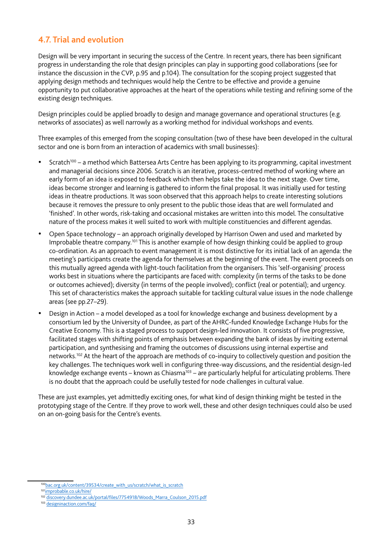# **4.7. Trial and evolution**

Design will be very important in securing the success of the Centre. In recent years, there has been signifcant progress in understanding the role that design principles can play in supporting good collaborations (see for instance the discussion in the CVP, p.95 and p.104). The consultation for the scoping project suggested that applying design methods and techniques would help the Centre to be effective and provide a genuine opportunity to put collaborative approaches at the heart of the operations while testing and refning some of the existing design techniques.

Design principles could be applied broadly to design and manage governance and operational structures (e.g. networks of associates) as well narrowly as a working method for individual workshops and events.

Three examples of this emerged from the scoping consultation (two of these have been developed in the cultural sector and one is born from an interaction of academics with small businesses):

- Scratch<sup>100</sup> a method which Battersea Arts Centre has been applying to its programming, capital investment and managerial decisions since 2006. Scratch is an iterative, process-centred method of working where an early form of an idea is exposed to feedback which then helps take the idea to the next stage. Over time, ideas become stronger and learning is gathered to inform the final proposal. It was initially used for testing ideas in theatre productions. It was soon observed that this approach helps to create interesting solutions because it removes the pressure to only present to the public those ideas that are well formulated and 'fnished'. In other words, risk-taking and occasional mistakes are written into this model. The consultative nature of the process makes it well suited to work with multiple constituencies and different agendas.
- Open Space technology an approach originally developed by Harrison Owen and used and marketed by Improbable theatre company.101 This is another example of how design thinking could be applied to group co-ordination. As an approach to event management it is most distinctive for its initial lack of an agenda: the meeting's participants create the agenda for themselves at the beginning of the event. The event proceeds on this mutually agreed agenda with light-touch facilitation from the organisers. This 'self-organising' process works best in situations where the participants are faced with: complexity (in terms of the tasks to be done or outcomes achieved); diversity (in terms of the people involved); confict (real or potential); and urgency. This set of characteristics makes the approach suitable for tackling cultural value issues in the node challenge areas (see pp.27–29).
- Design in Action a model developed as a tool for knowledge exchange and business development by a consortium led by the University of Dundee, as part of the AHRC-funded Knowledge Exchange Hubs for the Creative Economy. This is a staged process to support design-led innovation. It consists of fve progressive, facilitated stages with shifting points of emphasis between expanding the bank of ideas by inviting external participation, and synthesising and framing the outcomes of discussions using internal expertise and networks.102 At the heart of the approach are methods of co-inquiry to collectively question and position the key challenges. The techniques work well in configuring three-way discussions, and the residential design-led knowledge exchange events – known as Chiasma<sup>103</sup> – are particularly helpful for articulating problems. There is no doubt that the approach could be usefully tested for node challenges in cultural value.

These are just examples, yet admittedly exciting ones, for what kind of design thinking might be tested in the prototyping stage of the Centre. If they prove to work well, these and other design techniques could also be used on an on-going basis for the Centre's events.

<sup>100</sup>[bac.org.uk/content/39534/create\\_with\\_us/scratch/what\\_is\\_scratch](https://www.bac.org.uk/content/39534/create_with_us/scratch/what_is_scratch)

<sup>10</sup>[1improbable.co.uk/hire/](http://www.improbable.co.uk/hire/)

<sup>102</sup> [discovery.dundee.ac.uk/portal/fles/7754918/Woods\\_Marra\\_Coulson\\_2015.pdf](http://discovery.dundee.ac.uk/portal/files/7754918/Woods_Marra_Coulson_2015.pdf)

<sup>103</sup> [designinaction.com/faq/](http://www.designinaction.com/faq/)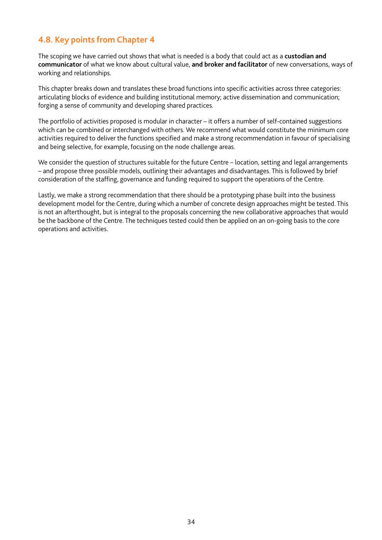# **4.8. Key points from Chapter 4**

The scoping we have carried out shows that what is needed is a body that could act as a **custodian and communicator** of what we know about cultural value, **and broker and facilitator** of new conversations, ways of working and relationships.

This chapter breaks down and translates these broad functions into specific activities across three categories: articulating blocks of evidence and building institutional memory; active dissemination and communication; forging a sense of community and developing shared practices.

The portfolio of activities proposed is modular in character – it offers a number of self-contained suggestions which can be combined or interchanged with others. We recommend what would constitute the minimum core activities required to deliver the functions specified and make a strong recommendation in favour of specialising and being selective, for example, focusing on the node challenge areas.

We consider the question of structures suitable for the future Centre – location, setting and legal arrangements – and propose three possible models, outlining their advantages and disadvantages. This is followed by brief consideration of the staffng, governance and funding required to support the operations of the Centre.

Lastly, we make a strong recommendation that there should be a prototyping phase built into the business development model for the Centre, during which a number of concrete design approaches might be tested. This is not an afterthought, but is integral to the proposals concerning the new collaborative approaches that would be the backbone of the Centre. The techniques tested could then be applied on an on-going basis to the core operations and activities.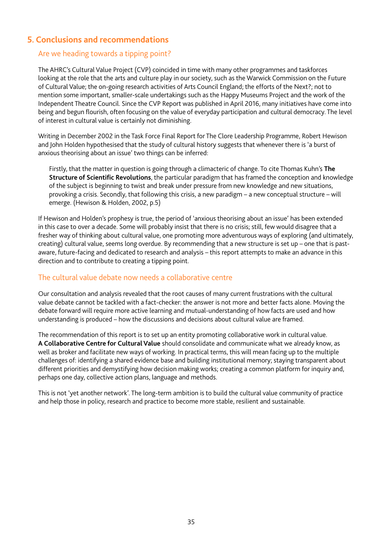# **5. Conclusions and recommendations**

# Are we heading towards a tipping point?

The AHRC's Cultural Value Project (CVP) coincided in time with many other programmes and taskforces looking at the role that the arts and culture play in our society, such as the Warwick Commission on the Future of Cultural Value; the on-going research activities of Arts Council England; the efforts of the Next?; not to mention some important, smaller-scale undertakings such as the Happy Museums Project and the work of the Independent Theatre Council. Since the CVP Report was published in April 2016, many initiatives have come into being and begun flourish, often focusing on the value of everyday participation and cultural democracy. The level of interest in cultural value is certainly not diminishing.

Writing in December 2002 in the Task Force Final Report for The Clore Leadership Programme, Robert Hewison and John Holden hypothesised that the study of cultural history suggests that whenever there is 'a burst of anxious theorising about an issue' two things can be inferred:

Firstly, that the matter in question is going through a climacteric of change. To cite Thomas Kuhn's **The Structure of Scientifc Revolutions**, the particular paradigm that has framed the conception and knowledge of the subject is beginning to twist and break under pressure from new knowledge and new situations, provoking a crisis. Secondly, that following this crisis, a new paradigm – a new conceptual structure – will emerge. (Hewison & Holden, 2002, p.5)

If Hewison and Holden's prophesy is true, the period of 'anxious theorising about an issue' has been extended in this case to over a decade. Some will probably insist that there is no crisis; still, few would disagree that a fresher way of thinking about cultural value, one promoting more adventurous ways of exploring (and ultimately, creating) cultural value, seems long overdue. By recommending that a new structure is set up – one that is pastaware, future-facing and dedicated to research and analysis – this report attempts to make an advance in this direction and to contribute to creating a tipping point.

# The cultural value debate now needs a collaborative centre

Our consultation and analysis revealed that the root causes of many current frustrations with the cultural value debate cannot be tackled with a fact-checker: the answer is not more and better facts alone. Moving the debate forward will require more active learning and mutual-understanding of how facts are used and how understanding is produced – how the discussions and decisions about cultural value are framed.

The recommendation of this report is to set up an entity promoting collaborative work in cultural value. **A Collaborative Centre for Cultural Value** should consolidate and communicate what we already know, as well as broker and facilitate new ways of working. In practical terms, this will mean facing up to the multiple challenges of: identifying a shared evidence base and building institutional memory; staying transparent about different priorities and demystifying how decision making works; creating a common platform for inquiry and, perhaps one day, collective action plans, language and methods.

This is not 'yet another network'. The long-term ambition is to build the cultural value community of practice and help those in policy, research and practice to become more stable, resilient and sustainable.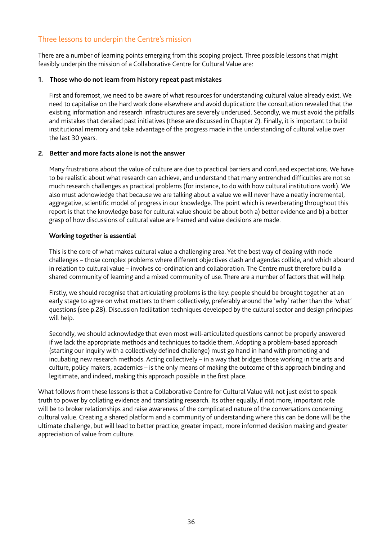# Three lessons to underpin the Centre's mission

There are a number of learning points emerging from this scoping project. Three possible lessons that might feasibly underpin the mission of a Collaborative Centre for Cultural Value are:

#### **1. Those who do not learn from history repeat past mistakes**

First and foremost, we need to be aware of what resources for understanding cultural value already exist. We need to capitalise on the hard work done elsewhere and avoid duplication: the consultation revealed that the existing information and research infrastructures are severely underused. Secondly, we must avoid the pitfalls and mistakes that derailed past initiatives (these are discussed in Chapter 2). Finally, it is important to build institutional memory and take advantage of the progress made in the understanding of cultural value over the last 30 years.

#### **2. Better and more facts alone is not the answer**

Many frustrations about the value of culture are due to practical barriers and confused expectations. We have to be realistic about what research can achieve, and understand that many entrenched difficulties are not so much research challenges as practical problems (for instance, to do with how cultural institutions work). We also must acknowledge that because we are talking about a value we will never have a neatly incremental, aggregative, scientifc model of progress in our knowledge. The point which is reverberating throughout this report is that the knowledge base for cultural value should be about both a) better evidence and b) a better grasp of how discussions of cultural value are framed and value decisions are made.

#### **Working together is essential**

This is the core of what makes cultural value a challenging area. Yet the best way of dealing with node challenges – those complex problems where different objectives clash and agendas collide, and which abound in relation to cultural value – involves co-ordination and collaboration. The Centre must therefore build a shared community of learning and a mixed community of use. There are a number of factors that will help.

Firstly, we should recognise that articulating problems is the key: people should be brought together at an early stage to agree on what matters to them collectively, preferably around the 'why' rather than the 'what' questions (see p.28). Discussion facilitation techniques developed by the cultural sector and design principles will help.

Secondly, we should acknowledge that even most well-articulated questions cannot be properly answered if we lack the appropriate methods and techniques to tackle them. Adopting a problem-based approach (starting our inquiry with a collectively defned challenge) must go hand in hand with promoting and incubating new research methods. Acting collectively – in a way that bridges those working in the arts and culture, policy makers, academics – is the only means of making the outcome of this approach binding and legitimate, and indeed, making this approach possible in the first place.

What follows from these lessons is that a Collaborative Centre for Cultural Value will not just exist to speak truth to power by collating evidence and translating research. Its other equally, if not more, important role will be to broker relationships and raise awareness of the complicated nature of the conversations concerning cultural value. Creating a shared platform and a community of understanding where this can be done will be the ultimate challenge, but will lead to better practice, greater impact, more informed decision making and greater appreciation of value from culture.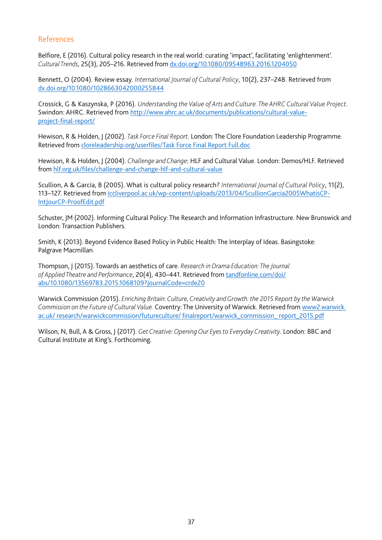## References

Belfore, E (2016). Cultural policy research in the real world: curating 'impact', facilitating 'enlightenment'. *Cultural Trends*, 25(3), 205–216. Retrieved from [dx.doi.org/10.1080/09548963.2016.1204050](http://dx.doi.org/10.1080/09548963.2016.1204050)

Bennett, O (2004). Review essay. *International Journal of Cultural Policy*, 10(2), 237–248. Retrieved from [dx.doi.org/10.1080/1028663042000255844](http://dx.doi.org/10.1080/1028663042000255844)

Crossick, G & Kaszynska, P (2016). *Understanding the Value of Arts and Culture. The AHRC Cultural Value Project*. Swindon: AHRC. Retrieved from [http://www.ahrc.ac.uk/documents/publications/cultural-value](http://www.ahrc.ac.uk/documents/publications/cultural-value-project-final-report/)[project-fnal-report/](http://www.ahrc.ac.uk/documents/publications/cultural-value-project-final-report/)

Hewison, R & Holden, J (2002). *Task Force Final Report*. London: The Clore Foundation Leadership Programme. Retrieved from [cloreleadership.org/userfles/Task Force Final Report Full.doc](http://www.cloreleadership.org/userfiles/Task%20Force%20Final%20Report%20Full.doc)

Hewison, R & Holden, J (2004). *Challenge and Change*: HLF and Cultural Value. London: Demos/HLF. Retrieved from [hlf.org.uk/fles/challenge-and-change-hlf-and-cultural-value](https://www.hlf.org.uk/sites/default/files/media/research/challengeandchange_culturalvalue.pdf)

Scullion, A & García, B (2005). What is cultural policy research? *International Journal of Cultural Policy*, 11(2), 113–127. Retrieved from [iccliverpool.ac.uk/wp-content/uploads/2013/04/ScullionGarcia2005WhatisCP-](http://iccliverpool.ac.uk/wp-content/uploads/2013/04/ScullionGarcia2005WhatisCP-IntJourCP-ProofEdit.pdf)[IntJourCP-ProofEdit.pdf](http://iccliverpool.ac.uk/wp-content/uploads/2013/04/ScullionGarcia2005WhatisCP-IntJourCP-ProofEdit.pdf)

Schuster, JM (2002). Informing Cultural Policy: The Research and Information Infrastructure. New Brunswick and London: Transaction Publishers.

Smith, K (2013). Beyond Evidence Based Policy in Public Health: The Interplay of Ideas. Basingstoke: Palgrave Macmillan.

Thompson, J (2015). Towards an aesthetics of care. *Research in Drama Education: The Journal of Applied Theatre and Performance*, 20(4), 430–441. Retrieved from [tandfonline.com/doi/](http://www.tandfonline.com/doi/abs/10.1080/13569783.2015.1068109?journalCode=crde20) [abs/10.1080/13569783.2015.1068109?journalCode=crde20](http://www.tandfonline.com/doi/abs/10.1080/13569783.2015.1068109?journalCode=crde20)

Warwick Commission (2015). *Enriching Britain: Culture, Creativity and Growth: the 2015 Report by the Warwick Commission on the Future of Cultural Value.* Coventry: The University of Warwick. Retrieved from [www2.warwick.](https://www2.warwick.ac.uk/research/warwickcommission/futureculture/finalreport/warwick_commission_report_2015.pdf) [ac.uk/ research/warwickcommission/futureculture/ fnalreport/warwick\\_commission\\_ report\\_2015.pdf](https://www2.warwick.ac.uk/research/warwickcommission/futureculture/finalreport/warwick_commission_report_2015.pdf)

Wilson, N, Bull, A & Gross, J (2017). *Get Creative: Opening Our Eyes to Everyday Creativity*. London: BBC and Cultural Institute at King's. Forthcoming.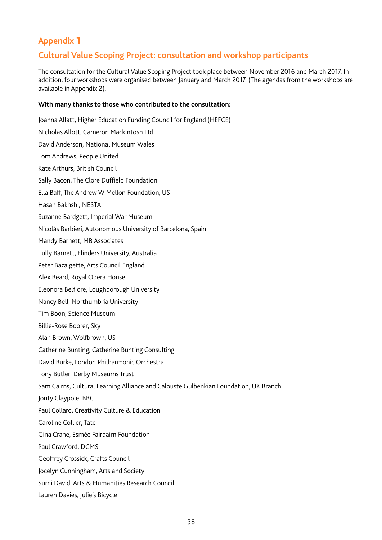# **Appendix 1**

# **Cultural Value Scoping Project: consultation and workshop participants**

The consultation for the Cultural Value Scoping Project took place between November 2016 and March 2017. In addition, four workshops were organised between January and March 2017. (The agendas from the workshops are available in Appendix 2).

#### **With many thanks to those who contributed to the consultation:**

Joanna Allatt, Higher Education Funding Council for England (HEFCE) Nicholas Allott, Cameron Mackintosh Ltd David Anderson, National Museum Wales Tom Andrews, People United Kate Arthurs, British Council Sally Bacon, The Clore Duffield Foundation Ella Baff, The Andrew W Mellon Foundation, US Hasan Bakhshi, NESTA Suzanne Bardgett, Imperial War Museum Nicolás Barbieri, Autonomous University of Barcelona, Spain Mandy Barnett, MB Associates Tully Barnett, Flinders University, Australia Peter Bazalgette, Arts Council England Alex Beard, Royal Opera House Eleonora Belfiore, Loughborough University Nancy Bell, Northumbria University Tim Boon, Science Museum Billie-Rose Boorer, Sky Alan Brown, Wolfbrown, US Catherine Bunting, Catherine Bunting Consulting David Burke, London Philharmonic Orchestra Tony Butler, Derby Museums Trust Sam Cairns, Cultural Learning Alliance and Calouste Gulbenkian Foundation, UK Branch Jonty Claypole, BBC Paul Collard, Creativity Culture & Education Caroline Collier, Tate Gina Crane, Esmée Fairbairn Foundation Paul Crawford, DCMS Geoffrey Crossick, Crafts Council Jocelyn Cunningham, Arts and Society Sumi David, Arts & Humanities Research Council Lauren Davies, Julie's Bicycle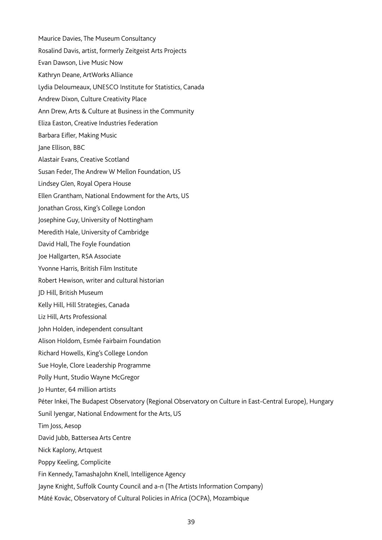- Maurice Davies, The Museum Consultancy Rosalind Davis, artist, formerly Zeitgeist Arts Projects Evan Dawson, Live Music Now Kathryn Deane, ArtWorks Alliance Lydia Deloumeaux, UNESCO Institute for Statistics, Canada Andrew Dixon, Culture Creativity Place Ann Drew, Arts & Culture at Business in the Community Eliza Easton, Creative Industries Federation Barbara Eifler, Making Music Jane Ellison, BBC Alastair Evans, Creative Scotland Susan Feder, The Andrew W Mellon Foundation, US Lindsey Glen, Royal Opera House Ellen Grantham, National Endowment for the Arts, US Jonathan Gross, King's College London Josephine Guy, University of Nottingham Meredith Hale, University of Cambridge David Hall, The Foyle Foundation Joe Hallgarten, RSA Associate Yvonne Harris, British Film Institute Robert Hewison, writer and cultural historian JD Hill, British Museum Kelly Hill, Hill Strategies, Canada Liz Hill, Arts Professional John Holden, independent consultant Alison Holdom, Esmée Fairbairn Foundation Richard Howells, King's College London Sue Hoyle, Clore Leadership Programme Polly Hunt, Studio Wayne McGregor Jo Hunter, 64 million artists Péter Inkei, The Budapest Observatory (Regional Observatory on Culture in East-Central Europe), Hungary Sunil Iyengar, National Endowment for the Arts, US Tim Joss, Aesop David Jubb, Battersea Arts Centre Nick Kaplony, Artquest Poppy Keeling, Complicite Fin Kennedy, TamashaJohn Knell, Intelligence Agency Jayne Knight, Suffolk County Council and a-n (The Artists Information Company)
- Máté Kovác, Observatory of Cultural Policies in Africa (OCPA), Mozambique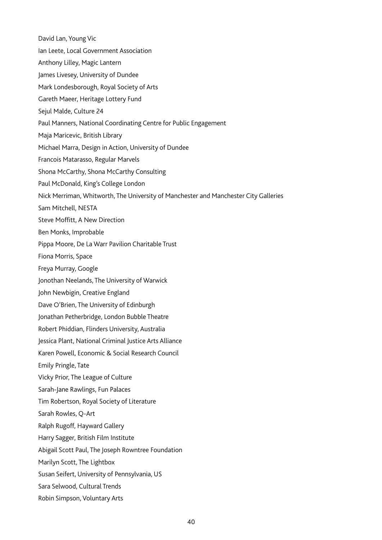David Lan, Young Vic

Ian Leete, Local Government Association

Anthony Lilley, Magic Lantern

James Livesey, University of Dundee

Mark Londesborough, Royal Society of Arts

Gareth Maeer, Heritage Lottery Fund

Sejul Malde, Culture 24

Paul Manners, National Coordinating Centre for Public Engagement

Maja Maricevic, British Library

Michael Marra, Design in Action, University of Dundee

Francois Matarasso, Regular Marvels

Shona McCarthy, Shona McCarthy Consulting

Paul McDonald, King's College London

Nick Merriman, Whitworth, The University of Manchester and Manchester City Galleries

Sam Mitchell, NESTA

Steve Moffitt, A New Direction

Ben Monks, Improbable

Pippa Moore, De La Warr Pavilion Charitable Trust

Fiona Morris, Space

Freya Murray, Google

Jonothan Neelands, The University of Warwick

John Newbigin, Creative England

Dave O'Brien, The University of Edinburgh

Jonathan Petherbridge, London Bubble Theatre

Robert Phiddian, Flinders University, Australia

Jessica Plant, National Criminal Justice Arts Alliance

Karen Powell, Economic & Social Research Council

Emily Pringle, Tate

Vicky Prior, The League of Culture

Sarah-Jane Rawlings, Fun Palaces

Tim Robertson, Royal Society of Literature

Sarah Rowles, Q-Art

Ralph Rugoff, Hayward Gallery

Harry Sagger, British Film Institute

Abigail Scott Paul, The Joseph Rowntree Foundation

Marilyn Scott, The Lightbox

Susan Seifert, University of Pennsylvania, US

Sara Selwood, Cultural Trends

Robin Simpson, Voluntary Arts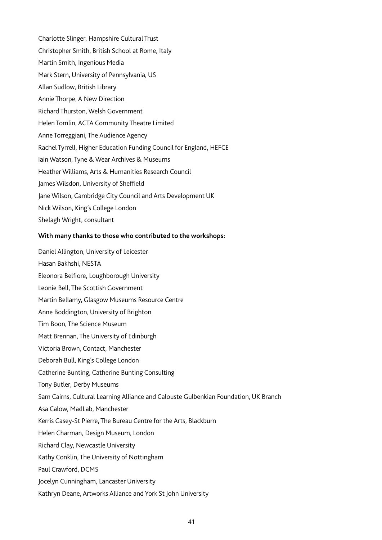Charlotte Slinger, Hampshire Cultural Trust Christopher Smith, British School at Rome, Italy Martin Smith, Ingenious Media Mark Stern, University of Pennsylvania, US Allan Sudlow, British Library Annie Thorpe, A New Direction Richard Thurston, Welsh Government Helen Tomlin, ACTA Community Theatre Limited Anne Torreggiani, The Audience Agency Rachel Tyrrell, Higher Education Funding Council for England, HEFCE Iain Watson, Tyne & Wear Archives & Museums Heather Williams, Arts & Humanities Research Council James Wilsdon, University of Sheffield Jane Wilson, Cambridge City Council and Arts Development UK Nick Wilson, King's College London Shelagh Wright, consultant

#### **With many thanks to those who contributed to the workshops:**

Daniel Allington, University of Leicester Hasan Bakhshi, NESTA Eleonora Belfiore, Loughborough University Leonie Bell, The Scottish Government Martin Bellamy, Glasgow Museums Resource Centre Anne Boddington, University of Brighton Tim Boon, The Science Museum Matt Brennan, The University of Edinburgh Victoria Brown, Contact, Manchester Deborah Bull, King's College London Catherine Bunting, Catherine Bunting Consulting Tony Butler, Derby Museums Sam Cairns, Cultural Learning Alliance and Calouste Gulbenkian Foundation, UK Branch Asa Calow, MadLab, Manchester Kerris Casey-St Pierre, The Bureau Centre for the Arts, Blackburn Helen Charman, Design Museum, London Richard Clay, Newcastle University Kathy Conklin, The University of Nottingham Paul Crawford, DCMS Jocelyn Cunningham, Lancaster University Kathryn Deane, Artworks Alliance and York St John University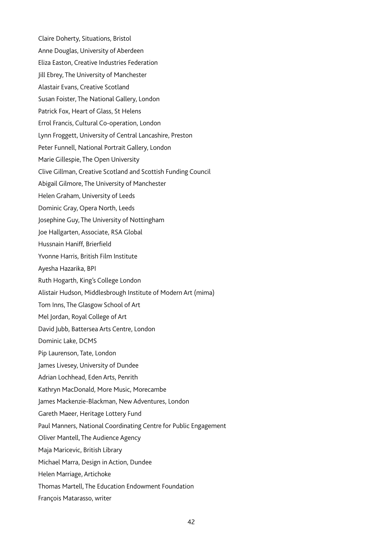Claire Doherty, Situations, Bristol Anne Douglas, University of Aberdeen Eliza Easton, Creative Industries Federation Jill Ebrey, The University of Manchester Alastair Evans, Creative Scotland Susan Foister, The National Gallery, London Patrick Fox, Heart of Glass, St Helens Errol Francis, Cultural Co-operation, London Lynn Froggett, University of Central Lancashire, Preston Peter Funnell, National Portrait Gallery, London Marie Gillespie, The Open University Clive Gillman, Creative Scotland and Scottish Funding Council Abigail Gilmore, The University of Manchester Helen Graham, University of Leeds Dominic Gray, Opera North, Leeds Josephine Guy, The University of Nottingham Joe Hallgarten, Associate, RSA Global Hussnain Haniff, Brierfield Yvonne Harris, British Film Institute Ayesha Hazarika, BPI Ruth Hogarth, King's College London Alistair Hudson, Middlesbrough Institute of Modern Art (mima) Tom Inns, The Glasgow School of Art Mel Jordan, Royal College of Art David Jubb, Battersea Arts Centre, London Dominic Lake, DCMS Pip Laurenson, Tate, London James Livesey, University of Dundee Adrian Lochhead, Eden Arts, Penrith Kathryn MacDonald, More Music, Morecambe James Mackenzie-Blackman, New Adventures, London Gareth Maeer, Heritage Lottery Fund Paul Manners, National Coordinating Centre for Public Engagement Oliver Mantell, The Audience Agency Maja Maricevic, British Library Michael Marra, Design in Action, Dundee Helen Marriage, Artichoke Thomas Martell, The Education Endowment Foundation François Matarasso, writer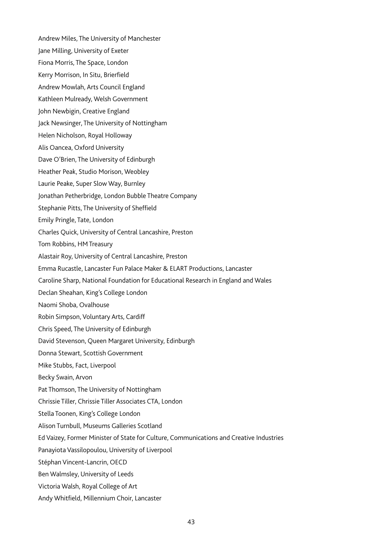Andrew Miles, The University of Manchester Jane Milling, University of Exeter Fiona Morris, The Space, London Kerry Morrison, In Situ, Brierfield Andrew Mowlah, Arts Council England Kathleen Mulready, Welsh Government John Newbigin, Creative England Jack Newsinger, The University of Nottingham Helen Nicholson, Royal Holloway Alis Oancea, Oxford University Dave O'Brien, The University of Edinburgh Heather Peak, Studio Morison, Weobley Laurie Peake, Super Slow Way, Burnley Jonathan Petherbridge, London Bubble Theatre Company Stephanie Pitts, The University of Sheffield Emily Pringle, Tate, London Charles Quick, University of Central Lancashire, Preston Tom Robbins, HM Treasury Alastair Roy, University of Central Lancashire, Preston Emma Rucastle, Lancaster Fun Palace Maker & ELART Productions, Lancaster Caroline Sharp, National Foundation for Educational Research in England and Wales Declan Sheahan, King's College London Naomi Shoba, Ovalhouse Robin Simpson, Voluntary Arts, Cardiff Chris Speed, The University of Edinburgh David Stevenson, Queen Margaret University, Edinburgh Donna Stewart, Scottish Government Mike Stubbs, Fact, Liverpool Becky Swain, Arvon Pat Thomson, The University of Nottingham Chrissie Tiller, Chrissie Tiller Associates CTA, London Stella Toonen, King's College London Alison Turnbull, Museums Galleries Scotland Ed Vaizey, Former Minister of State for Culture, Communications and Creative Industries Panayiota Vassilopoulou, University of Liverpool Stéphan Vincent-Lancrin, OECD Ben Walmsley, University of Leeds Victoria Walsh, Royal College of Art Andy Whitfield, Millennium Choir, Lancaster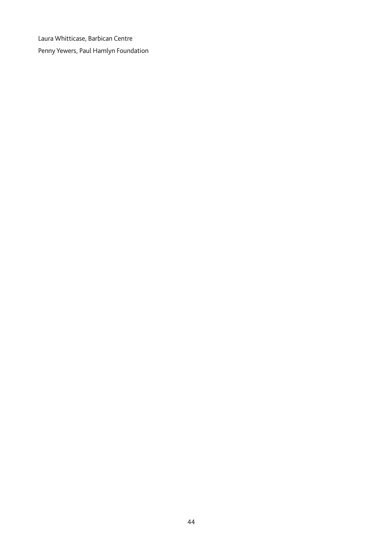Laura Whitticase, Barbican Centre Penny Yewers, Paul Hamlyn Foundation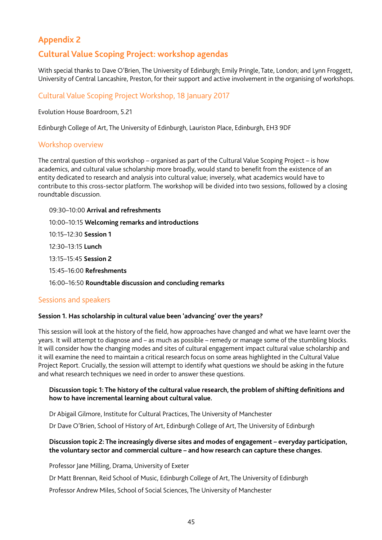# **Appendix 2**

# **Cultural Value Scoping Project: workshop agendas**

With special thanks to Dave O'Brien, The University of Edinburgh; Emily Pringle, Tate, London; and Lynn Froggett, University of Central Lancashire, Preston, for their support and active involvement in the organising of workshops.

## Cultural Value Scoping Project Workshop, 18 January 2017

Evolution House Boardroom, 5.21

Edinburgh College of Art, The University of Edinburgh, Lauriston Place, Edinburgh, EH3 9DF

#### Workshop overview

The central question of this workshop – organised as part of the Cultural Value Scoping Project – is how academics, and cultural value scholarship more broadly, would stand to beneft from the existence of an entity dedicated to research and analysis into cultural value; inversely, what academics would have to contribute to this cross-sector platform. The workshop will be divided into two sessions, followed by a closing roundtable discussion.

- 09:30–10:00 **Arrival and refreshments**
- 10:00–10:15 **Welcoming remarks and introductions**
- 10:15–12:30 **Session 1**
- 12:30–13:15 **Lunch**
- 13:15–15:45 **Session 2**
- 15:45–16:00 **Refreshments**
- 16:00–16:50 **Roundtable discussion and concluding remarks**

#### Sessions and speakers

#### **Session 1. Has scholarship in cultural value been 'advancing' over the years?**

This session will look at the history of the field, how approaches have changed and what we have learnt over the years. It will attempt to diagnose and – as much as possible – remedy or manage some of the stumbling blocks. It will consider how the changing modes and sites of cultural engagement impact cultural value scholarship and it will examine the need to maintain a critical research focus on some areas highlighted in the Cultural Value Project Report. Crucially, the session will attempt to identify what questions we should be asking in the future and what research techniques we need in order to answer these questions.

#### Discussion topic 1: The history of the cultural value research, the problem of shifting definitions and **how to have incremental learning about cultural value.**

Dr Abigail Gilmore, Institute for Cultural Practices, The University of Manchester

Dr Dave O'Brien, School of History of Art, Edinburgh College of Art, The University of Edinburgh

#### **Discussion topic 2: The increasingly diverse sites and modes of engagement – everyday participation, the voluntary sector and commercial culture – and how research can capture these changes.**

Professor Jane Milling, Drama, University of Exeter

Dr Matt Brennan, Reid School of Music, Edinburgh College of Art, The University of Edinburgh

Professor Andrew Miles, School of Social Sciences, The University of Manchester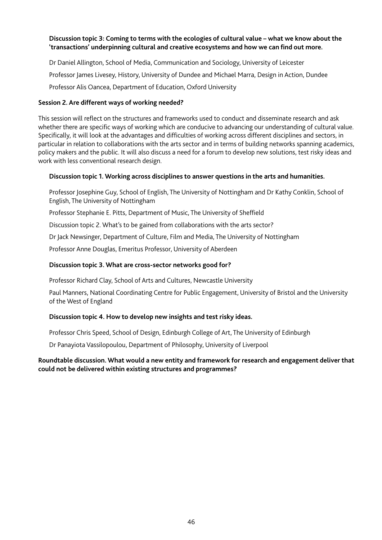#### **Discussion topic 3: Coming to terms with the ecologies of cultural value – what we know about the 'transactions' underpinning cultural and creative ecosystems and how we can fnd out more.**

Dr Daniel Allington, School of Media, Communication and Sociology, University of Leicester Professor James Livesey, History, University of Dundee and Michael Marra, Design in Action, Dundee Professor Alis Oancea, Department of Education, Oxford University

#### **Session 2. Are different ways of working needed?**

This session will refect on the structures and frameworks used to conduct and disseminate research and ask whether there are specific ways of working which are conducive to advancing our understanding of cultural value. Specifically, it will look at the advantages and difficulties of working across different disciplines and sectors, in particular in relation to collaborations with the arts sector and in terms of building networks spanning academics, policy makers and the public. It will also discuss a need for a forum to develop new solutions, test risky ideas and work with less conventional research design.

#### **Discussion topic 1. Working across disciplines to answer questions in the arts and humanities.**

Professor Josephine Guy, School of English, The University of Nottingham and Dr Kathy Conklin, School of English, The University of Nottingham

Professor Stephanie E. Pitts, Department of Music, The University of Sheffeld

Discussion topic 2. What's to be gained from collaborations with the arts sector?

Dr Jack Newsinger, Department of Culture, Film and Media, The University of Nottingham

Professor Anne Douglas, Emeritus Professor, University of Aberdeen

#### **Discussion topic 3. What are cross-sector networks good for?**

Professor Richard Clay, School of Arts and Cultures, Newcastle University

Paul Manners, National Coordinating Centre for Public Engagement, University of Bristol and the University of the West of England

#### **Discussion topic 4. How to develop new insights and test risky ideas.**

Professor Chris Speed, School of Design, Edinburgh College of Art, The University of Edinburgh

Dr Panayiota Vassilopoulou, Department of Philosophy, University of Liverpool

#### **Roundtable discussion. What would a new entity and framework for research and engagement deliver that could not be delivered within existing structures and programmes?**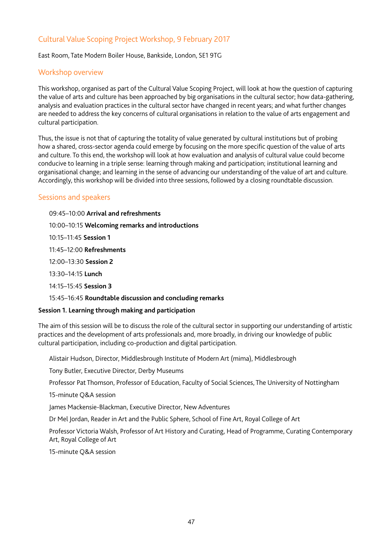# Cultural Value Scoping Project Workshop, 9 February 2017

East Room, Tate Modern Boiler House, Bankside, London, SE1 9TG

## Workshop overview

This workshop, organised as part of the Cultural Value Scoping Project, will look at how the question of capturing the value of arts and culture has been approached by big organisations in the cultural sector; how data-gathering, analysis and evaluation practices in the cultural sector have changed in recent years; and what further changes are needed to address the key concerns of cultural organisations in relation to the value of arts engagement and cultural participation.

Thus, the issue is not that of capturing the totality of value generated by cultural institutions but of probing how a shared, cross-sector agenda could emerge by focusing on the more specific question of the value of arts and culture. To this end, the workshop will look at how evaluation and analysis of cultural value could become conducive to learning in a triple sense: learning through making and participation; institutional learning and organisational change; and learning in the sense of advancing our understanding of the value of art and culture. Accordingly, this workshop will be divided into three sessions, followed by a closing roundtable discussion.

#### Sessions and speakers

09:45–10:00 **Arrival and refreshments** 10:00–10:15 **Welcoming remarks and introductions** 10:15–11:45 **Session 1**  11:45–12:00 **Refreshments** 12:00–13:30 **Session 2** 13:30–14:15 **Lunch**  14:15–15:45 **Session 3** 15:45–16:45 **Roundtable discussion and concluding remarks Session 1. Learning through making and participation**

The aim of this session will be to discuss the role of the cultural sector in supporting our understanding of artistic practices and the development of arts professionals and, more broadly, in driving our knowledge of public cultural participation, including co-production and digital participation.

Alistair Hudson, Director, Middlesbrough Institute of Modern Art (mima), Middlesbrough

Tony Butler, Executive Director, Derby Museums

Professor Pat Thomson, Professor of Education, Faculty of Social Sciences, The University of Nottingham

15-minute Q&A session

James Mackensie-Blackman, Executive Director, New Adventures

Dr Mel Jordan, Reader in Art and the Public Sphere, School of Fine Art, Royal College of Art

Professor Victoria Walsh, Professor of Art History and Curating, Head of Programme, Curating Contemporary Art, Royal College of Art

15-minute Q&A session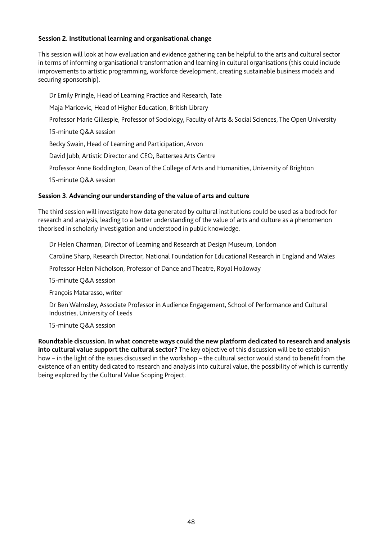#### **Session 2. Institutional learning and organisational change**

This session will look at how evaluation and evidence gathering can be helpful to the arts and cultural sector in terms of informing organisational transformation and learning in cultural organisations (this could include improvements to artistic programming, workforce development, creating sustainable business models and securing sponsorship).

Dr Emily Pringle, Head of Learning Practice and Research, Tate

Maja Maricevic, Head of Higher Education, British Library

Professor Marie Gillespie, Professor of Sociology, Faculty of Arts & Social Sciences, The Open University

15-minute Q&A session

Becky Swain, Head of Learning and Participation, Arvon

David Jubb, Artistic Director and CEO, Battersea Arts Centre

Professor Anne Boddington, Dean of the College of Arts and Humanities, University of Brighton

15-minute Q&A session

#### **Session 3. Advancing our understanding of the value of arts and culture**

The third session will investigate how data generated by cultural institutions could be used as a bedrock for research and analysis, leading to a better understanding of the value of arts and culture as a phenomenon theorised in scholarly investigation and understood in public knowledge.

Dr Helen Charman, Director of Learning and Research at Design Museum, London

Caroline Sharp, Research Director, National Foundation for Educational Research in England and Wales

Professor Helen Nicholson, Professor of Dance and Theatre, Royal Holloway

15-minute Q&A session

François Matarasso, writer

Dr Ben Walmsley, Associate Professor in Audience Engagement, School of Performance and Cultural Industries, University of Leeds

15-minute Q&A session

**Roundtable discussion. In what concrete ways could the new platform dedicated to research and analysis into cultural value support the cultural sector?** The key objective of this discussion will be to establish how – in the light of the issues discussed in the workshop – the cultural sector would stand to benefit from the existence of an entity dedicated to research and analysis into cultural value, the possibility of which is currently being explored by the Cultural Value Scoping Project.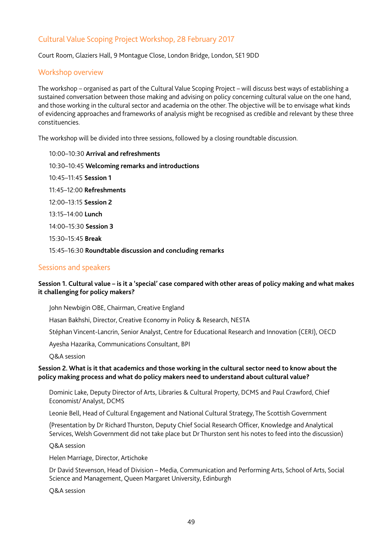# Cultural Value Scoping Project Workshop, 28 February 2017

Court Room, Glaziers Hall, 9 Montague Close, London Bridge, London, SE1 9DD

#### Workshop overview

The workshop – organised as part of the Cultural Value Scoping Project – will discuss best ways of establishing a sustained conversation between those making and advising on policy concerning cultural value on the one hand, and those working in the cultural sector and academia on the other. The objective will be to envisage what kinds of evidencing approaches and frameworks of analysis might be recognised as credible and relevant by these three constituencies.

The workshop will be divided into three sessions, followed by a closing roundtable discussion.

10:00–10:30 **Arrival and refreshments** 10:30–10:45 **Welcoming remarks and introductions** 10:45–11:45 **Session 1**  11:45–12:00 **Refreshments**  12:00–13:15 **Session 2** 13:15–14:00 **Lunch**  14:00–15:30 **Session 3** 15:30–15:45 **Break**  15:45–16:30 **Roundtable discussion and concluding remarks**

#### Sessions and speakers

#### **Session 1. Cultural value – is it a 'special' case compared with other areas of policy making and what makes it challenging for policy makers?**

John Newbigin OBE, Chairman, Creative England

Hasan Bakhshi, Director, Creative Economy in Policy & Research, NESTA

Stéphan Vincent-Lancrin, Senior Analyst, Centre for Educational Research and Innovation (CERI), OECD

Ayesha Hazarika, Communications Consultant, BPI

Q&A session

#### **Session 2. What is it that academics and those working in the cultural sector need to know about the policy making process and what do policy makers need to understand about cultural value?**

Dominic Lake, Deputy Director of Arts, Libraries & Cultural Property, DCMS and Paul Crawford, Chief Economist/ Analyst, DCMS

Leonie Bell, Head of Cultural Engagement and National Cultural Strategy, The Scottish Government

(Presentation by Dr Richard Thurston, Deputy Chief Social Research Officer, Knowledge and Analytical Services, Welsh Government did not take place but Dr Thurston sent his notes to feed into the discussion)

Q&A session

Helen Marriage, Director, Artichoke

Dr David Stevenson, Head of Division – Media, Communication and Performing Arts, School of Arts, Social Science and Management, Queen Margaret University, Edinburgh

Q&A session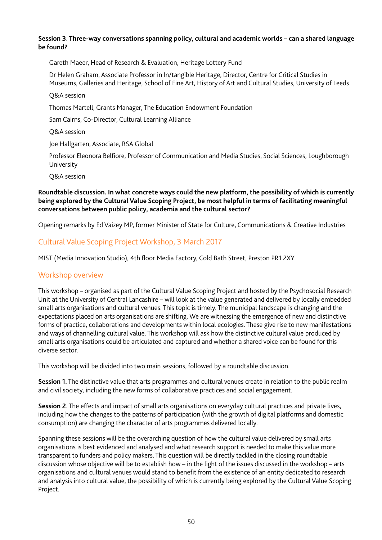#### **Session 3. Three-way conversations spanning policy, cultural and academic worlds – can a shared language be found?**

Gareth Maeer, Head of Research & Evaluation, Heritage Lottery Fund

Dr Helen Graham, Associate Professor in In/tangible Heritage, Director, Centre for Critical Studies in Museums, Galleries and Heritage, School of Fine Art, History of Art and Cultural Studies, University of Leeds

#### Q&A session

Thomas Martell, Grants Manager, The Education Endowment Foundation

Sam Cairns, Co-Director, Cultural Learning Alliance

Q&A session

Joe Hallgarten, Associate, RSA Global

Professor Eleonora Belfore, Professor of Communication and Media Studies, Social Sciences, Loughborough University

Q&A session

#### **Roundtable discussion. In what concrete ways could the new platform, the possibility of which is currently being explored by the Cultural Value Scoping Project, be most helpful in terms of facilitating meaningful conversations between public policy, academia and the cultural sector?**

Opening remarks by Ed Vaizey MP, former Minister of State for Culture, Communications & Creative Industries

## Cultural Value Scoping Project Workshop, 3 March 2017

MIST (Media Innovation Studio), 4th floor Media Factory, Cold Bath Street, Preston PR1 2XY

#### Workshop overview

This workshop – organised as part of the Cultural Value Scoping Project and hosted by the Psychosocial Research Unit at the University of Central Lancashire – will look at the value generated and delivered by locally embedded small arts organisations and cultural venues. This topic is timely. The municipal landscape is changing and the expectations placed on arts organisations are shifting. We are witnessing the emergence of new and distinctive forms of practice, collaborations and developments within local ecologies. These give rise to new manifestations and ways of channelling cultural value. This workshop will ask how the distinctive cultural value produced by small arts organisations could be articulated and captured and whether a shared voice can be found for this diverse sector.

This workshop will be divided into two main sessions, followed by a roundtable discussion.

**Session 1.** The distinctive value that arts programmes and cultural venues create in relation to the public realm and civil society, including the new forms of collaborative practices and social engagement.

**Session 2**. The effects and impact of small arts organisations on everyday cultural practices and private lives, including how the changes to the patterns of participation (with the growth of digital platforms and domestic consumption) are changing the character of arts programmes delivered locally.

Spanning these sessions will be the overarching question of how the cultural value delivered by small arts organisations is best evidenced and analysed and what research support is needed to make this value more transparent to funders and policy makers. This question will be directly tackled in the closing roundtable discussion whose objective will be to establish how – in the light of the issues discussed in the workshop – arts organisations and cultural venues would stand to benefit from the existence of an entity dedicated to research and analysis into cultural value, the possibility of which is currently being explored by the Cultural Value Scoping Project.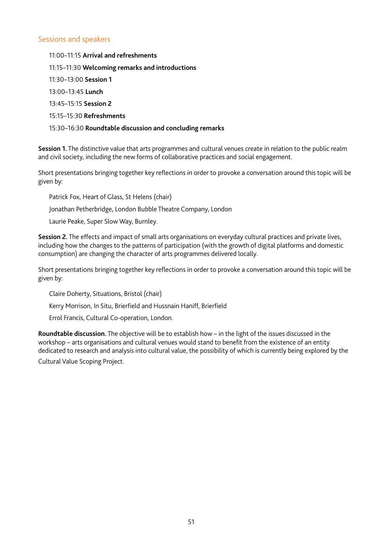#### Sessions and speakers

11:00–11:15 **Arrival and refreshments** 11:15–11:30 **Welcoming remarks and introductions** 11:30–13:00 **Session 1**  13:00–13:45 **Lunch** 13:45–15:15 **Session 2** 15:15–15:30 **Refreshments**  15:30–16:30 **Roundtable discussion and concluding remarks**

**Session 1.** The distinctive value that arts programmes and cultural venues create in relation to the public realm and civil society, including the new forms of collaborative practices and social engagement.

Short presentations bringing together key reflections in order to provoke a conversation around this topic will be given by:

Patrick Fox, Heart of Glass, St Helens (chair)

Jonathan Petherbridge, London Bubble Theatre Company, London

Laurie Peake, Super Slow Way, Burnley.

**Session 2.** The effects and impact of small arts organisations on everyday cultural practices and private lives, including how the changes to the patterns of participation (with the growth of digital platforms and domestic consumption) are changing the character of arts programmes delivered locally.

Short presentations bringing together key reflections in order to provoke a conversation around this topic will be given by:

Claire Doherty, Situations, Bristol (chair)

Kerry Morrison, In Situ, Brierfield and Hussnain Haniff, Brierfield

Errol Francis, Cultural Co-operation, London.

**Roundtable discussion.** The objective will be to establish how – in the light of the issues discussed in the workshop – arts organisations and cultural venues would stand to benefit from the existence of an entity dedicated to research and analysis into cultural value, the possibility of which is currently being explored by the

Cultural Value Scoping Project.